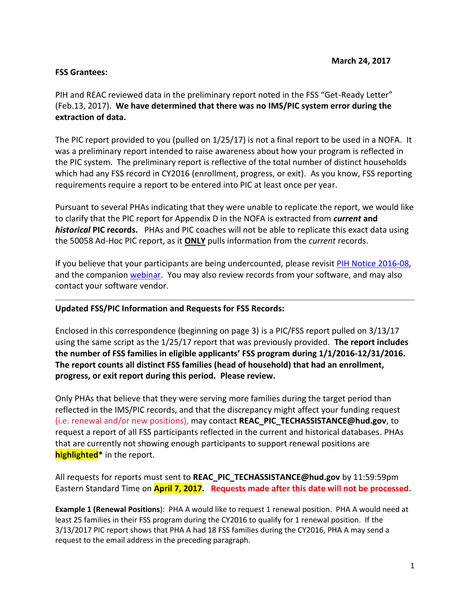#### **FSS Grantees:**

PIH and REAC reviewed data in the preliminary report noted in the FSS "Get-Ready Letter" (Feb.13, 2017). **We have determined that there was no IMS/PIC system error during the extraction of data.**

The PIC report provided to you (pulled on 1/25/17) is not a final report to be used in a NOFA. It was a preliminary report intended to raise awareness about how your program is reflected in the PIC system. The preliminary report is reflective of the total number of distinct households which had any FSS record in CY2016 (enrollment, progress, or exit). As you know, FSS reporting requirements require a report to be entered into PIC at least once per year.

Pursuant to several PHAs indicating that they were unable to replicate the report, we would like to clarify that the PIC report for Appendix D in the NOFA is extracted from *current* **and**  *historical* **PIC records.** PHAs and PIC coaches will not be able to replicate this exact data using the 50058 Ad-Hoc PIC report, as it **ONLY** pulls information from the *current* records.

If you believe that your participants are being undercounted, please revisi[t PIH Notice 2016-08,](https://portal.hud.gov/hudportal/documents/huddoc?id=16-08pihn.pdf) and the companion [webinar.](https://www.youtube.com/playlist?list=PLDYbj6cykYZ_lMCqV8xcK2lQGpUf3RF6P) You may also review records from your software, and may also contact your software vendor.

### **Updated FSS/PIC Information and Requests for FSS Records:**

Enclosed in this correspondence (beginning on page 3) is a PIC/FSS report pulled on 3/13/17 using the same script as the 1/25/17 report that was previously provided. **The report includes the number of FSS families in eligible applicants' FSS program during 1/1/2016-12/31/2016. The report counts all distinct FSS families (head of household) that had an enrollment, progress, or exit report during this period. Please review.**

Only PHAs that believe that they were serving more families during the target period than reflected in the IMS/PIC records, and that the discrepancy might affect your funding request (i.e. renewal and/or new positions), may contact **REAC\_PIC\_TECHASSISTANCE@hud.gov**, to request a report of all FSS participants reflected in the current and historical databases. PHAs that are currently not showing enough participants to support renewal positions are **highlighted\*** in the report.

All requests for reports must sent to **REAC\_PIC\_TECHASSISTANCE@hud.gov** by 11:59:59pm Eastern Standard Time on **April 7, 2017. Requests made after this date will not be processed.** 

**Example 1 (Renewal Positions**): PHA A would like to request 1 renewal position. PHA A would need at least 25 families in their FSS program during the CY2016 to qualify for 1 renewal position. If the 3/13/2017 PIC report shows that PHA A had 18 FSS families during the CY2016, PHA A may send a request to the email address in the preceding paragraph.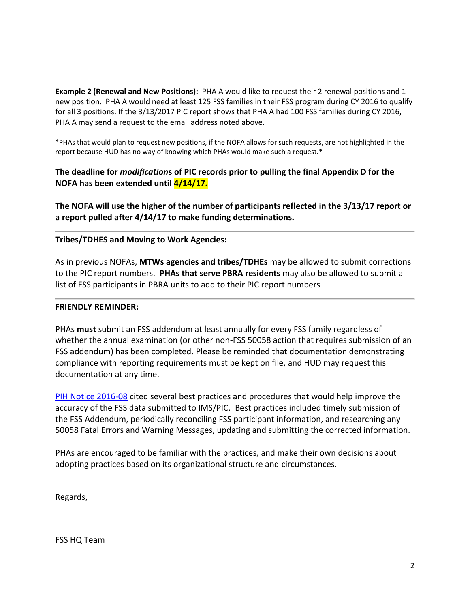**Example 2 (Renewal and New Positions):** PHA A would like to request their 2 renewal positions and 1 new position. PHA A would need at least 125 FSS families in their FSS program during CY 2016 to qualify for all 3 positions. If the 3/13/2017 PIC report shows that PHA A had 100 FSS families during CY 2016, PHA A may send a request to the email address noted above.

\*PHAs that would plan to request new positions, if the NOFA allows for such requests, are not highlighted in the report because HUD has no way of knowing which PHAs would make such a request.\*

## **The deadline for** *modification***s of PIC records prior to pulling the final Appendix D for the NOFA has been extended until 4/14/17.**

**The NOFA will use the higher of the number of participants reflected in the 3/13/17 report or a report pulled after 4/14/17 to make funding determinations.** 

#### **Tribes/TDHES and Moving to Work Agencies:**

As in previous NOFAs, **MTWs agencies and tribes/TDHEs** may be allowed to submit corrections to the PIC report numbers. **PHAs that serve PBRA residents** may also be allowed to submit a list of FSS participants in PBRA units to add to their PIC report numbers

#### **FRIENDLY REMINDER:**

PHAs **must** submit an FSS addendum at least annually for every FSS family regardless of whether the annual examination (or other non-FSS 50058 action that requires submission of an FSS addendum) has been completed. Please be reminded that documentation demonstrating compliance with reporting requirements must be kept on file, and HUD may request this documentation at any time.

[PIH Notice 2016-08](https://portal.hud.gov/hudportal/documents/huddoc?id=16-08pihn.pdf) cited several best practices and procedures that would help improve the accuracy of the FSS data submitted to IMS/PIC. Best practices included timely submission of the FSS Addendum, periodically reconciling FSS participant information, and researching any 50058 Fatal Errors and Warning Messages, updating and submitting the corrected information.

PHAs are encouraged to be familiar with the practices, and make their own decisions about adopting practices based on its organizational structure and circumstances.

Regards,

FSS HQ Team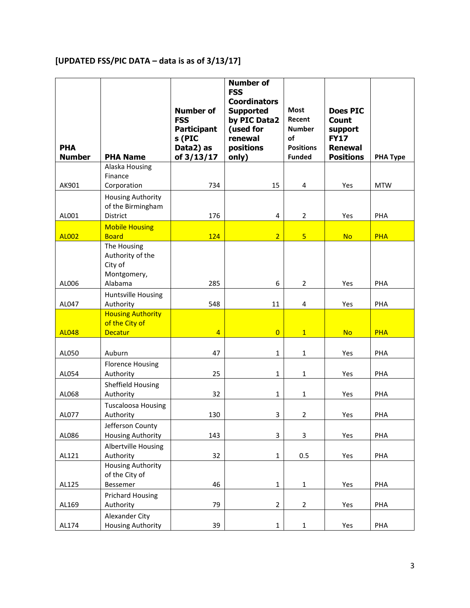# **[UPDATED FSS/PIC DATA – data is as of 3/13/17]**

| <b>PHA</b><br><b>Number</b> | <b>PHA Name</b>                                                      | <b>Number of</b><br><b>FSS</b><br><b>Participant</b><br>s (PIC<br>Data2) as<br>of 3/13/17 | <b>Number of</b><br><b>FSS</b><br><b>Coordinators</b><br><b>Supported</b><br>by PIC Data2<br>(used for<br>renewal<br>positions<br>only) | <b>Most</b><br>Recent<br><b>Number</b><br>οf<br><b>Positions</b><br><b>Funded</b> | <b>Does PIC</b><br><b>Count</b><br>support<br><b>FY17</b><br><b>Renewal</b><br><b>Positions</b> | <b>PHA Type</b> |
|-----------------------------|----------------------------------------------------------------------|-------------------------------------------------------------------------------------------|-----------------------------------------------------------------------------------------------------------------------------------------|-----------------------------------------------------------------------------------|-------------------------------------------------------------------------------------------------|-----------------|
| AK901                       | Alaska Housing<br>Finance<br>Corporation                             | 734                                                                                       | 15                                                                                                                                      | $\overline{4}$                                                                    | Yes                                                                                             | <b>MTW</b>      |
| AL001                       | <b>Housing Authority</b><br>of the Birmingham<br>District            | 176                                                                                       | 4                                                                                                                                       | $\overline{2}$                                                                    | Yes                                                                                             | PHA             |
| <b>AL002</b>                | <b>Mobile Housing</b><br><b>Board</b>                                | 124                                                                                       | $\overline{2}$                                                                                                                          | 5 <sup>5</sup>                                                                    | <b>No</b>                                                                                       | <b>PHA</b>      |
|                             | The Housing<br>Authority of the<br>City of<br>Montgomery,<br>Alabama | 285                                                                                       | 6                                                                                                                                       |                                                                                   |                                                                                                 | PHA             |
| AL006<br>AL047              | Huntsville Housing<br>Authority                                      | 548                                                                                       | 11                                                                                                                                      | $\overline{2}$<br>4                                                               | Yes<br>Yes                                                                                      | PHA             |
| <b>AL048</b>                | <b>Housing Authority</b><br>of the City of<br><b>Decatur</b>         | $\overline{4}$                                                                            | $\overline{0}$                                                                                                                          | 1                                                                                 | <b>No</b>                                                                                       | <b>PHA</b>      |
| AL050                       | Auburn                                                               | 47                                                                                        | $\mathbf{1}$                                                                                                                            | $\mathbf{1}$                                                                      | Yes                                                                                             | PHA             |
| AL054                       | <b>Florence Housing</b><br>Authority                                 | 25                                                                                        | $\mathbf 1$                                                                                                                             | $\mathbf{1}$                                                                      | Yes                                                                                             | PHA             |
| AL068                       | Sheffield Housing<br>Authority                                       | 32                                                                                        | $\mathbf{1}$                                                                                                                            | $\mathbf{1}$                                                                      | Yes                                                                                             | PHA             |
| AL077                       | <b>Tuscaloosa Housing</b><br>Authority                               | 130                                                                                       | 3                                                                                                                                       | $\overline{2}$                                                                    | Yes                                                                                             | PHA             |
| AL086                       | Jefferson County<br><b>Housing Authority</b>                         | 143                                                                                       | 3                                                                                                                                       | 3                                                                                 | Yes                                                                                             | PHA             |
| AL121                       | <b>Albertville Housing</b><br>Authority                              | 32                                                                                        | $\mathbf 1$                                                                                                                             | 0.5                                                                               | Yes                                                                                             | PHA             |
| AL125                       | <b>Housing Authority</b><br>of the City of<br>Bessemer               | 46                                                                                        | $\mathbf{1}$                                                                                                                            | $\mathbf{1}$                                                                      | Yes                                                                                             | PHA             |
| AL169                       | <b>Prichard Housing</b><br>Authority                                 | 79                                                                                        | $\overline{2}$                                                                                                                          | $\overline{2}$                                                                    | Yes                                                                                             | PHA             |
| AL174                       | Alexander City<br><b>Housing Authority</b>                           | 39                                                                                        | $\mathbf{1}$                                                                                                                            | $\mathbf{1}$                                                                      | Yes                                                                                             | PHA             |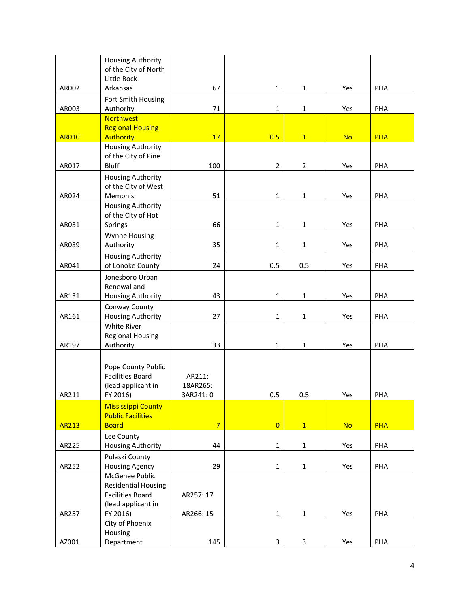|              | <b>Housing Authority</b><br>of the City of North                                |                                |                |                |           |            |
|--------------|---------------------------------------------------------------------------------|--------------------------------|----------------|----------------|-----------|------------|
| AR002        | Little Rock<br>Arkansas                                                         | 67                             | $\mathbf{1}$   | $\mathbf{1}$   | Yes       | PHA        |
|              | Fort Smith Housing                                                              |                                |                |                |           |            |
| AR003        | Authority                                                                       | 71                             | $\mathbf{1}$   | $\mathbf{1}$   | Yes       | PHA        |
|              | <b>Northwest</b><br><b>Regional Housing</b>                                     |                                |                |                |           |            |
| <b>AR010</b> | <b>Authority</b>                                                                | 17                             | 0.5            | $\overline{1}$ | <b>No</b> | <b>PHA</b> |
|              | <b>Housing Authority</b>                                                        |                                |                |                |           |            |
| AR017        | of the City of Pine<br><b>Bluff</b>                                             | 100                            | $\overline{2}$ | $\overline{2}$ | Yes       | PHA        |
|              | <b>Housing Authority</b>                                                        |                                |                |                |           |            |
|              | of the City of West                                                             |                                |                |                |           |            |
| AR024        | Memphis                                                                         | 51                             | $\mathbf{1}$   | $\mathbf{1}$   | Yes       | PHA        |
|              | <b>Housing Authority</b><br>of the City of Hot                                  |                                |                |                |           |            |
| AR031        | Springs                                                                         | 66                             | $\mathbf{1}$   | $\mathbf 1$    | Yes       | PHA        |
|              | Wynne Housing                                                                   |                                |                |                |           |            |
| AR039        | Authority                                                                       | 35                             | $\mathbf{1}$   | 1              | Yes       | PHA        |
| AR041        | <b>Housing Authority</b><br>of Lonoke County                                    | 24                             | 0.5            | 0.5            | Yes       | PHA        |
|              | Jonesboro Urban                                                                 |                                |                |                |           |            |
| AR131        | Renewal and<br><b>Housing Authority</b>                                         | 43                             | $\mathbf{1}$   | $\mathbf{1}$   | Yes       | PHA        |
|              | Conway County                                                                   |                                |                |                |           |            |
| AR161        | Housing Authority                                                               | 27                             | $\mathbf{1}$   | $\mathbf 1$    | Yes       | PHA        |
|              | White River<br><b>Regional Housing</b>                                          |                                |                |                |           |            |
| AR197        | Authority                                                                       | 33                             | $\mathbf{1}$   | $\mathbf{1}$   | Yes       | PHA        |
| AR211        | Pope County Public<br><b>Facilities Board</b><br>(lead applicant in<br>FY 2016) | AR211:<br>18AR265:<br>3AR241:0 | 0.5            | 0.5            | Yes       | PHA        |
|              | <b>Mississippi County</b>                                                       |                                |                |                |           |            |
| <b>AR213</b> | <b>Public Facilities</b><br><b>Board</b>                                        | $\overline{7}$                 | $\overline{0}$ | 1              | <b>No</b> | <b>PHA</b> |
|              | Lee County                                                                      |                                |                |                |           |            |
| AR225        | Housing Authority                                                               | 44                             | $\mathbf{1}$   | 1              | Yes       | PHA        |
|              | Pulaski County                                                                  |                                |                |                |           |            |
| AR252        | <b>Housing Agency</b><br>McGehee Public                                         | 29                             | $\mathbf 1$    | $\mathbf{1}$   | Yes       | PHA        |
|              | <b>Residential Housing</b>                                                      |                                |                |                |           |            |
|              | <b>Facilities Board</b>                                                         | AR257: 17                      |                |                |           |            |
| AR257        | (lead applicant in<br>FY 2016)                                                  | AR266: 15                      | $\mathbf{1}$   | $\mathbf{1}$   | Yes       | PHA        |
|              | City of Phoenix                                                                 |                                |                |                |           |            |
|              | Housing                                                                         |                                |                |                |           |            |
| AZ001        | Department                                                                      | 145                            | 3              | 3              | Yes       | PHA        |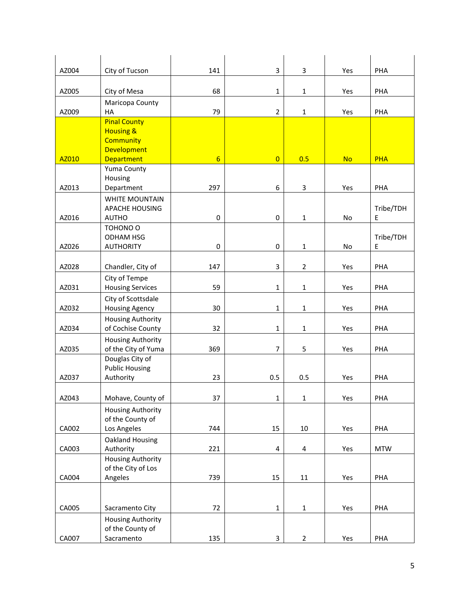| AZ004 | City of Tucson                                                                                             | 141             | 3                       | 3              | Yes       | PHA            |
|-------|------------------------------------------------------------------------------------------------------------|-----------------|-------------------------|----------------|-----------|----------------|
| AZ005 | City of Mesa                                                                                               | 68              | $\mathbf{1}$            | $\mathbf{1}$   | Yes       | PHA            |
| AZ009 | Maricopa County<br>HA                                                                                      | 79              | $\overline{2}$          | $\mathbf 1$    | Yes       | PHA            |
| AZ010 | <b>Pinal County</b><br><b>Housing &amp;</b><br><b>Community</b><br><b>Development</b><br><b>Department</b> | $6\overline{6}$ | $\overline{0}$          | 0.5            | <b>No</b> | <b>PHA</b>     |
|       | Yuma County                                                                                                |                 |                         |                |           |                |
| AZ013 | Housing<br>Department                                                                                      | 297             | 6                       | 3              | Yes       | PHA            |
| AZ016 | <b>WHITE MOUNTAIN</b><br><b>APACHE HOUSING</b><br><b>AUTHO</b>                                             | 0               | $\pmb{0}$               | $\mathbf{1}$   | No        | Tribe/TDH<br>Е |
| AZ026 | TOHONO O<br><b>ODHAM HSG</b><br><b>AUTHORITY</b>                                                           | 0               | $\pmb{0}$               | $\mathbf{1}$   | No        | Tribe/TDH<br>E |
| AZ028 | Chandler, City of                                                                                          | 147             | 3                       | $\overline{2}$ | Yes       | PHA            |
| AZ031 | City of Tempe<br><b>Housing Services</b>                                                                   | 59              | $\mathbf 1$             | $\mathbf 1$    | Yes       | PHA            |
| AZ032 | City of Scottsdale<br><b>Housing Agency</b>                                                                | 30              | $\mathbf{1}$            | $\mathbf{1}$   | Yes       | PHA            |
| AZ034 | <b>Housing Authority</b><br>of Cochise County                                                              | 32              | $\mathbf{1}$            | $\mathbf{1}$   | Yes       | PHA            |
| AZ035 | <b>Housing Authority</b><br>of the City of Yuma                                                            | 369             | $\overline{7}$          | 5              | Yes       | PHA            |
| AZ037 | Douglas City of<br><b>Public Housing</b><br>Authority                                                      | 23              | 0.5                     | 0.5            | Yes       | PHA            |
| AZ043 | Mohave, County of                                                                                          | 37              | $\mathbf{1}$            | 1              | Yes       | PHA            |
| CA002 | <b>Housing Authority</b><br>of the County of<br>Los Angeles                                                | 744             | 15                      | 10             | Yes       | PHA            |
| CA003 | Oakland Housing<br>Authority                                                                               | 221             | $\overline{\mathbf{4}}$ | 4              | Yes       | <b>MTW</b>     |
| CA004 | Housing Authority<br>of the City of Los<br>Angeles                                                         | 739             | 15                      | $11\,$         | Yes       | PHA            |
|       |                                                                                                            |                 |                         |                |           |                |
| CA005 | Sacramento City                                                                                            | 72              | $\mathbf 1$             | $\mathbf{1}$   | Yes       | PHA            |
| CA007 | Housing Authority<br>of the County of<br>Sacramento                                                        | 135             | 3                       | $\overline{2}$ | Yes       | PHA            |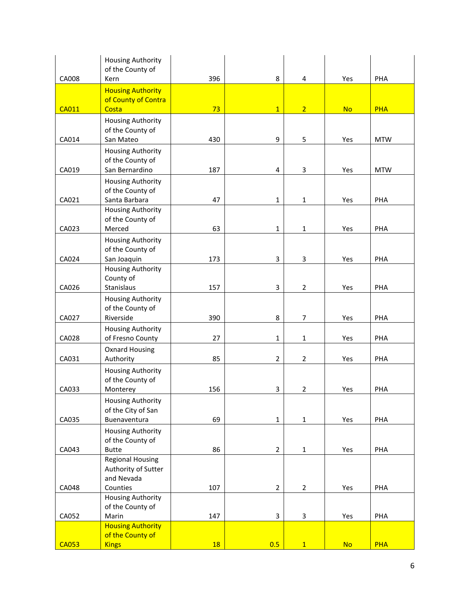|              | <b>Housing Authority</b>                       |           |                           |                |           |            |
|--------------|------------------------------------------------|-----------|---------------------------|----------------|-----------|------------|
| CA008        | of the County of<br>Kern                       | 396       | 8                         | 4              | Yes       | PHA        |
|              | <b>Housing Authority</b>                       |           |                           |                |           |            |
|              | of County of Contra                            |           |                           |                |           |            |
| <b>CA011</b> | Costa                                          | 73        | $\overline{1}$            | $\overline{2}$ | <b>No</b> | <b>PHA</b> |
|              | <b>Housing Authority</b>                       |           |                           |                |           |            |
|              | of the County of                               |           |                           |                |           |            |
| CA014        | San Mateo                                      | 430       | 9                         | 5              | Yes       | <b>MTW</b> |
|              | <b>Housing Authority</b>                       |           |                           |                |           |            |
| CA019        | of the County of<br>San Bernardino             | 187       | 4                         | 3              | Yes       | <b>MTW</b> |
|              | <b>Housing Authority</b>                       |           |                           |                |           |            |
|              | of the County of                               |           |                           |                |           |            |
| CA021        | Santa Barbara                                  | 47        | $\mathbf{1}$              | $\mathbf{1}$   | Yes       | PHA        |
|              | <b>Housing Authority</b>                       |           |                           |                |           |            |
|              | of the County of                               |           |                           |                |           |            |
| CA023        | Merced                                         | 63        | $\mathbf{1}$              | $\mathbf{1}$   | Yes       | PHA        |
|              | <b>Housing Authority</b><br>of the County of   |           |                           |                |           |            |
| CA024        | San Joaquin                                    | 173       | 3                         | 3              | Yes       | PHA        |
|              | <b>Housing Authority</b>                       |           |                           |                |           |            |
|              | County of                                      |           |                           |                |           |            |
| CA026        | Stanislaus                                     | 157       | 3                         | $\overline{2}$ | Yes       | PHA        |
|              | <b>Housing Authority</b>                       |           |                           |                |           |            |
| CA027        | of the County of<br>Riverside                  | 390       | 8                         | 7              | Yes       | PHA        |
|              | <b>Housing Authority</b>                       |           |                           |                |           |            |
| CA028        | of Fresno County                               | 27        | $\mathbf{1}$              | 1              | Yes       | PHA        |
|              | <b>Oxnard Housing</b>                          |           |                           |                |           |            |
| CA031        | Authority                                      | 85        | $\overline{2}$            | $\overline{2}$ | Yes       | PHA        |
|              | <b>Housing Authority</b>                       |           |                           |                |           |            |
|              | of the County of                               |           |                           |                |           |            |
| CA033        | Monterey                                       | 156       | 3                         | $\overline{2}$ | Yes       | PHA        |
|              | <b>Housing Authority</b><br>of the City of San |           |                           |                |           |            |
| CA035        | Buenaventura                                   | 69        | $\mathbf 1$               | $\mathbf{1}$   | Yes       | PHA        |
|              | <b>Housing Authority</b>                       |           |                           |                |           |            |
|              | of the County of                               |           |                           |                |           |            |
| CA043        | <b>Butte</b>                                   | 86        | $\overline{2}$            | $\mathbf{1}$   | Yes       | PHA        |
|              | <b>Regional Housing</b>                        |           |                           |                |           |            |
|              | Authority of Sutter<br>and Nevada              |           |                           |                |           |            |
| CA048        | Counties                                       | 107       | $\overline{2}$            | $\overline{2}$ | Yes       | PHA        |
|              | <b>Housing Authority</b>                       |           |                           |                |           |            |
|              | of the County of                               |           |                           |                |           |            |
| CA052        | Marin                                          | 147       | $\ensuremath{\mathsf{3}}$ | 3              | Yes       | PHA        |
|              | <b>Housing Authority</b><br>of the County of   |           |                           |                |           |            |
| <b>CA053</b> | <b>Kings</b>                                   | <b>18</b> | 0.5                       | 1              | <b>No</b> | <b>PHA</b> |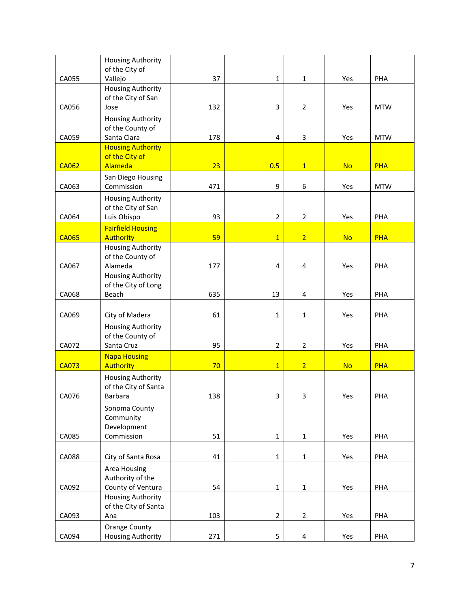|              | Housing Authority<br>of the City of              |     |                |                         |           |            |
|--------------|--------------------------------------------------|-----|----------------|-------------------------|-----------|------------|
| CA055        | Vallejo                                          | 37  | $\mathbf{1}$   | $\mathbf{1}$            | Yes       | PHA        |
|              | <b>Housing Authority</b><br>of the City of San   |     |                |                         |           |            |
| CA056        | Jose                                             | 132 | 3              | $\overline{2}$          | Yes       | <b>MTW</b> |
|              | <b>Housing Authority</b><br>of the County of     |     |                |                         |           |            |
| CA059        | Santa Clara<br><b>Housing Authority</b>          | 178 | 4              | $\mathsf 3$             | Yes       | <b>MTW</b> |
| <b>CA062</b> | of the City of<br>Alameda                        | 23  | 0.5            | $\mathbf{1}$            | <b>No</b> | <b>PHA</b> |
| CA063        | San Diego Housing<br>Commission                  |     | 9              |                         | Yes       |            |
|              | <b>Housing Authority</b>                         | 471 |                | 6                       |           | <b>MTW</b> |
| CA064        | of the City of San<br>Luis Obispo                | 93  | $\overline{2}$ | $\overline{2}$          | Yes       | PHA        |
| <b>CA065</b> | <b>Fairfield Housing</b><br><b>Authority</b>     | 59  | $\overline{1}$ | $\overline{2}$          | <b>No</b> | <b>PHA</b> |
|              | <b>Housing Authority</b>                         |     |                |                         |           |            |
| CA067        | of the County of<br>Alameda                      | 177 | 4              | 4                       | Yes       | PHA        |
|              | <b>Housing Authority</b>                         |     |                |                         |           |            |
| CA068        | of the City of Long<br>Beach                     | 635 | 13             | 4                       | Yes       | PHA        |
| CA069        | City of Madera                                   | 61  | $\mathbf{1}$   | $\mathbf 1$             | Yes       | PHA        |
|              | <b>Housing Authority</b><br>of the County of     | 95  |                |                         |           | PHA        |
| CA072        | Santa Cruz<br><b>Napa Housing</b>                |     | $\overline{2}$ | $\overline{2}$          | Yes       |            |
| <b>CA073</b> | <b>Authority</b>                                 | 70  | $\overline{1}$ | $\overline{2}$          | <b>No</b> | <b>PHA</b> |
|              | <b>Housing Authority</b><br>of the City of Santa |     |                |                         |           |            |
| CA076        | Barbara                                          | 138 | 3              | 3                       | Yes       | PHA        |
|              | Sonoma County<br>Community<br>Development        |     |                |                         |           |            |
| CA085        | Commission                                       | 51  | $\mathbf{1}$   | $\mathbf{1}$            | Yes       | PHA        |
| CA088        | City of Santa Rosa                               | 41  | $\mathbf 1$    | $\mathbf 1$             | Yes       | PHA        |
|              | Area Housing<br>Authority of the                 |     |                |                         |           |            |
| CA092        | County of Ventura<br><b>Housing Authority</b>    | 54  | $\mathbf{1}$   | $\mathbf 1$             | Yes       | PHA        |
|              | of the City of Santa                             |     |                |                         |           |            |
| CA093        | Ana                                              | 103 | $\overline{2}$ | $\overline{2}$          | Yes       | PHA        |
| CA094        | <b>Orange County</b><br><b>Housing Authority</b> | 271 | 5              | $\overline{\mathbf{4}}$ | Yes       | PHA        |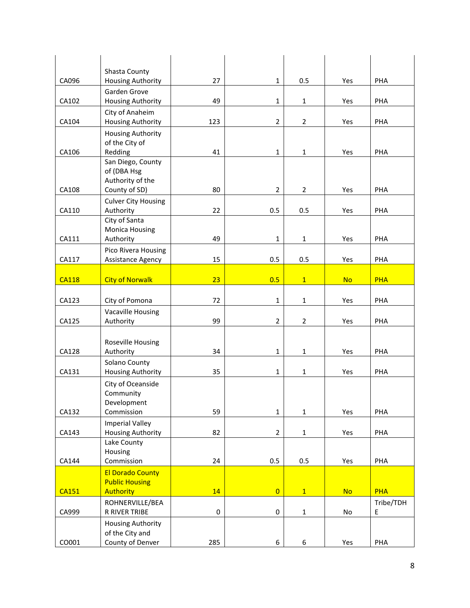|              | Shasta County                                      |                  |                |                |           |                |
|--------------|----------------------------------------------------|------------------|----------------|----------------|-----------|----------------|
| CA096        | <b>Housing Authority</b>                           | 27               | $\mathbf{1}$   | 0.5            | Yes       | PHA            |
|              | Garden Grove                                       | 49               |                |                |           |                |
| CA102        | <b>Housing Authority</b><br>City of Anaheim        |                  | $\mathbf{1}$   | $\mathbf{1}$   | Yes       | PHA            |
| CA104        | Housing Authority                                  | 123              | $\overline{2}$ | $\overline{2}$ | Yes       | PHA            |
|              | <b>Housing Authority</b>                           |                  |                |                |           |                |
|              | of the City of                                     |                  |                |                |           |                |
| CA106        | Redding                                            | 41               | $\mathbf{1}$   | $\mathbf{1}$   | Yes       | PHA            |
|              | San Diego, County                                  |                  |                |                |           |                |
|              | of (DBA Hsg                                        |                  |                |                |           |                |
| CA108        | Authority of the<br>County of SD)                  | 80               | $\overline{2}$ | $\overline{2}$ | Yes       | PHA            |
|              | <b>Culver City Housing</b>                         |                  |                |                |           |                |
| CA110        | Authority                                          | 22               | 0.5            | 0.5            | Yes       | PHA            |
|              | City of Santa                                      |                  |                |                |           |                |
|              | <b>Monica Housing</b>                              |                  |                |                |           |                |
| CA111        | Authority                                          | 49               | $\mathbf{1}$   | $\mathbf{1}$   | Yes       | PHA            |
| CA117        | Pico Rivera Housing<br>Assistance Agency           | 15               | 0.5            | 0.5            | Yes       | PHA            |
|              |                                                    |                  |                |                |           |                |
| <b>CA118</b> | <b>City of Norwalk</b>                             | 23               | 0.5            | $\mathbf{1}$   | <b>No</b> | <b>PHA</b>     |
|              |                                                    |                  |                |                |           |                |
| CA123        | City of Pomona                                     | 72               | $\mathbf{1}$   | 1              | Yes       | PHA            |
|              | Vacaville Housing                                  |                  |                |                |           |                |
| CA125        | Authority                                          | 99               | $\overline{2}$ | $\overline{2}$ | Yes       | PHA            |
|              |                                                    |                  |                |                |           |                |
| CA128        | Roseville Housing<br>Authority                     | 34               | $\mathbf{1}$   | $\mathbf{1}$   | Yes       | PHA            |
|              | Solano County                                      |                  |                |                |           |                |
| CA131        | <b>Housing Authority</b>                           | 35               | $\mathbf{1}$   | $\mathbf{1}$   | Yes       | PHA            |
|              | City of Oceanside                                  |                  |                |                |           |                |
|              | Community                                          |                  |                |                |           |                |
|              | Development                                        |                  |                |                |           |                |
| CA132        | Commission                                         | 59               | $\mathbf 1$    | $\mathbf{1}$   | Yes       | PHA            |
| CA143        | <b>Imperial Valley</b><br><b>Housing Authority</b> | 82               | $\overline{2}$ | $\mathbf{1}$   | Yes       | PHA            |
|              | Lake County                                        |                  |                |                |           |                |
|              | Housing                                            |                  |                |                |           |                |
| CA144        | Commission                                         | 24               | 0.5            | 0.5            | Yes       | PHA            |
|              | <b>El Dorado County</b>                            |                  |                |                |           |                |
|              | <b>Public Housing</b>                              |                  |                |                |           |                |
| <b>CA151</b> | <b>Authority</b>                                   | 14               | $\overline{0}$ | 1              | <b>No</b> | <b>PHA</b>     |
| CA999        | ROHNERVILLE/BEA<br>R RIVER TRIBE                   | $\boldsymbol{0}$ | 0              | $\mathbf{1}$   | No        | Tribe/TDH<br>E |
|              | <b>Housing Authority</b>                           |                  |                |                |           |                |
|              | of the City and                                    |                  |                |                |           |                |
| CO001        | County of Denver                                   | 285              | 6              | 6              | Yes       | PHA            |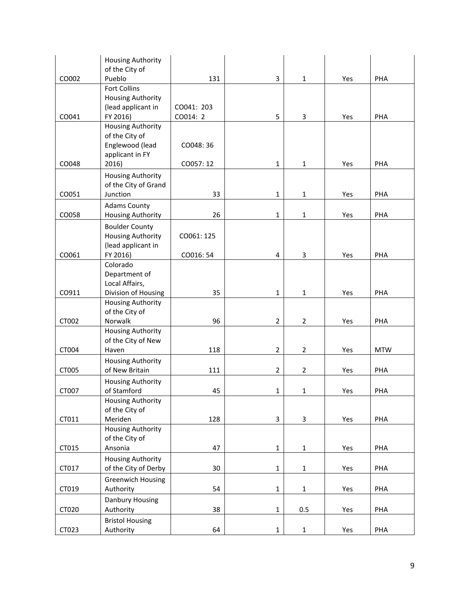|       | <b>Housing Authority</b>         |            |                |                |     |            |
|-------|----------------------------------|------------|----------------|----------------|-----|------------|
|       | of the City of                   |            |                |                |     |            |
| CO002 | Pueblo                           | 131        | 3              | $\mathbf{1}$   | Yes | PHA        |
|       | <b>Fort Collins</b>              |            |                |                |     |            |
|       | <b>Housing Authority</b>         |            |                |                |     |            |
|       | (lead applicant in               | CO041: 203 |                |                |     |            |
| CO041 | FY 2016)                         | CO014: 2   | 5              | 3              | Yes | PHA        |
|       | <b>Housing Authority</b>         |            |                |                |     |            |
|       | of the City of                   |            |                |                |     |            |
|       | Englewood (lead                  | CO048:36   |                |                |     |            |
| CO048 | applicant in FY<br>2016)         | CO057:12   | 1              | $\mathbf{1}$   | Yes | PHA        |
|       |                                  |            |                |                |     |            |
|       | <b>Housing Authority</b>         |            |                |                |     |            |
| CO051 | of the City of Grand<br>Junction | 33         | 1              | $\mathbf{1}$   | Yes | PHA        |
|       |                                  |            |                |                |     |            |
|       | <b>Adams County</b>              |            |                |                |     |            |
| CO058 | Housing Authority                | 26         | 1              | $\mathbf{1}$   | Yes | PHA        |
|       | <b>Boulder County</b>            |            |                |                |     |            |
|       | <b>Housing Authority</b>         | CO061: 125 |                |                |     |            |
|       | (lead applicant in               |            |                |                |     |            |
| CO061 | FY 2016)<br>Colorado             | CO016: 54  | 4              | 3              | Yes | PHA        |
|       | Department of                    |            |                |                |     |            |
|       | Local Affairs,                   |            |                |                |     |            |
| CO911 | Division of Housing              | 35         | 1              | $\mathbf{1}$   | Yes | PHA        |
|       | <b>Housing Authority</b>         |            |                |                |     |            |
|       | of the City of                   |            |                |                |     |            |
| CT002 | Norwalk                          | 96         | $\overline{2}$ | $\overline{2}$ | Yes | PHA        |
|       | <b>Housing Authority</b>         |            |                |                |     |            |
|       | of the City of New               |            |                |                |     |            |
| CT004 | Haven                            | 118        | 2              | $\overline{2}$ | Yes | <b>MTW</b> |
|       | <b>Housing Authority</b>         |            |                |                |     |            |
| CT005 | of New Britain                   | 111        | $\overline{2}$ | $\overline{2}$ | Yes | PHA        |
|       | <b>Housing Authority</b>         |            |                |                |     |            |
| CT007 | of Stamford                      | 45         | 1              | $\mathbf 1$    | Yes | PHA        |
|       | Housing Authority                |            |                |                |     |            |
|       | of the City of                   |            |                |                |     |            |
| CT011 | Meriden                          | 128        | 3              | 3              | Yes | PHA        |
|       | <b>Housing Authority</b>         |            |                |                |     |            |
|       | of the City of                   |            |                |                |     |            |
| CT015 | Ansonia                          | 47         | $\mathbf 1$    | $\mathbf{1}$   | Yes | PHA        |
|       | <b>Housing Authority</b>         |            |                |                |     |            |
| CT017 | of the City of Derby             | 30         | $\mathbf 1$    | $\mathbf{1}$   | Yes | PHA        |
|       | <b>Greenwich Housing</b>         |            |                |                |     |            |
| CT019 | Authority                        | 54         | $\mathbf{1}$   | $\mathbf{1}$   | Yes | PHA        |
|       | Danbury Housing                  |            |                |                |     |            |
| CT020 | Authority                        | 38         | $\mathbf{1}$   | 0.5            | Yes | PHA        |
|       | <b>Bristol Housing</b>           |            |                |                |     |            |
| CT023 | Authority                        | 64         | $\mathbf 1$    | $\mathbf{1}$   | Yes | PHA        |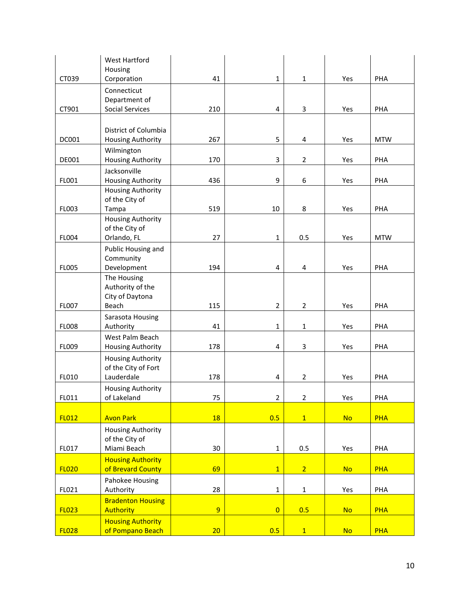|              | <b>West Hartford</b>     |                 |                |                |           |            |
|--------------|--------------------------|-----------------|----------------|----------------|-----------|------------|
|              | Housing                  |                 |                |                |           |            |
| CT039        | Corporation              | 41              | $\mathbf 1$    | $\mathbf{1}$   | Yes       | PHA        |
|              | Connecticut              |                 |                |                |           |            |
|              | Department of            |                 |                |                |           |            |
| CT901        | <b>Social Services</b>   | 210             | 4              | 3              | Yes       | PHA        |
|              |                          |                 |                |                |           |            |
|              | District of Columbia     |                 |                |                |           |            |
| DC001        | <b>Housing Authority</b> | 267             | 5              | 4              | Yes       | <b>MTW</b> |
|              | Wilmington               |                 |                |                |           |            |
| DE001        | <b>Housing Authority</b> | 170             | 3              | $\overline{2}$ | Yes       | PHA        |
|              | Jacksonville             |                 |                |                |           |            |
| FL001        | <b>Housing Authority</b> | 436             | 9              | 6              | Yes       | PHA        |
|              | <b>Housing Authority</b> |                 |                |                |           |            |
|              | of the City of           |                 |                |                |           |            |
| FL003        | Tampa                    | 519             | 10             | 8              | Yes       | PHA        |
|              | <b>Housing Authority</b> |                 |                |                |           |            |
|              | of the City of           |                 |                |                |           |            |
| FL004        | Orlando, FL              | 27              | $\mathbf{1}$   | 0.5            | Yes       | <b>MTW</b> |
|              | Public Housing and       |                 |                |                |           |            |
|              | Community                |                 |                |                |           |            |
| <b>FL005</b> | Development              | 194             | 4              | 4              | Yes       | PHA        |
|              | The Housing              |                 |                |                |           |            |
|              | Authority of the         |                 |                |                |           |            |
|              | City of Daytona          |                 |                |                |           |            |
| <b>FL007</b> | Beach                    | 115             | $\overline{2}$ | $\overline{2}$ | Yes       | PHA        |
|              | Sarasota Housing         |                 |                |                |           |            |
| <b>FL008</b> | Authority                | 41              | $\mathbf{1}$   | $\mathbf{1}$   | Yes       | PHA        |
|              | West Palm Beach          |                 |                |                |           |            |
| FL009        | <b>Housing Authority</b> | 178             | 4              | 3              | Yes       | PHA        |
|              | <b>Housing Authority</b> |                 |                |                |           |            |
|              | of the City of Fort      |                 |                |                |           |            |
| FL010        | Lauderdale               | 178             | 4              | $\overline{2}$ | Yes       | PHA        |
|              | <b>Housing Authority</b> |                 |                |                |           |            |
| FL011        | of Lakeland              | 75              | $\overline{2}$ | 2              | Yes       | PHA        |
|              |                          |                 |                |                |           |            |
| <b>FL012</b> | <b>Avon Park</b>         | 18              | 0.5            | $\overline{1}$ | <b>No</b> | <b>PHA</b> |
|              | <b>Housing Authority</b> |                 |                |                |           |            |
|              | of the City of           |                 |                |                |           |            |
| FL017        | Miami Beach              | 30              | $\mathbf{1}$   | 0.5            | Yes       | PHA        |
|              | <b>Housing Authority</b> |                 |                |                |           |            |
| <b>FL020</b> | of Brevard County        | 69              | $\overline{1}$ | $\overline{2}$ | <b>No</b> | <b>PHA</b> |
|              | Pahokee Housing          |                 |                |                |           |            |
| FL021        | Authority                | 28              | $\mathbf 1$    | $\mathbf{1}$   | Yes       | PHA        |
|              | <b>Bradenton Housing</b> |                 |                |                |           |            |
| <b>FL023</b> | <b>Authority</b>         | $\overline{9}$  | $\overline{0}$ | 0.5            | <b>No</b> | <b>PHA</b> |
|              | <b>Housing Authority</b> |                 |                |                |           |            |
| <b>FL028</b> | of Pompano Beach         | 20 <sub>2</sub> | 0.5            | 1              | <b>No</b> | <b>PHA</b> |
|              |                          |                 |                |                |           |            |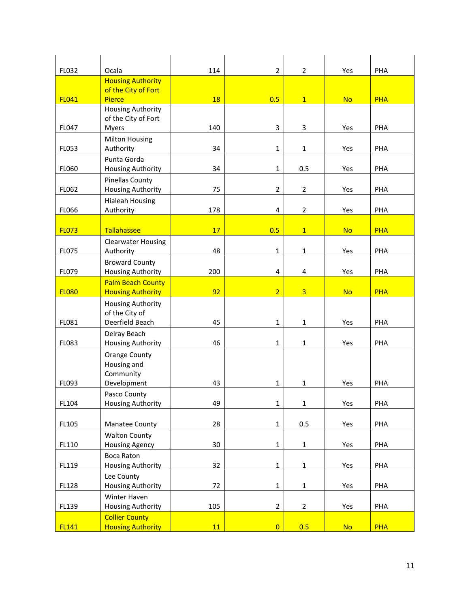| FL032        | Ocala                                           | 114       | $\overline{2}$ | 2              | Yes       | PHA        |
|--------------|-------------------------------------------------|-----------|----------------|----------------|-----------|------------|
|              | <b>Housing Authority</b>                        |           |                |                |           |            |
|              | of the City of Fort                             |           |                |                |           |            |
| <b>FL041</b> | <b>Pierce</b>                                   | <b>18</b> | 0.5            | $\mathbf{1}$   | <b>No</b> | <b>PHA</b> |
|              | <b>Housing Authority</b><br>of the City of Fort |           |                |                |           |            |
| FL047        | <b>Myers</b>                                    | 140       | 3              | 3              | Yes       | PHA        |
|              | <b>Milton Housing</b>                           |           |                |                |           |            |
| FL053        | Authority                                       | 34        | $\mathbf{1}$   | $\mathbf{1}$   | Yes       | PHA        |
|              | Punta Gorda                                     |           |                |                |           |            |
| FL060        | <b>Housing Authority</b>                        | 34        | $\mathbf{1}$   | 0.5            | Yes       | PHA        |
|              | <b>Pinellas County</b>                          |           |                |                |           |            |
| FL062        | <b>Housing Authority</b>                        | 75        | $\overline{2}$ | $\overline{2}$ | Yes       | PHA        |
|              | <b>Hialeah Housing</b>                          |           |                |                |           |            |
| <b>FL066</b> | Authority                                       | 178       | 4              | $\overline{2}$ | Yes       | PHA        |
| <b>FL073</b> | Tallahassee                                     | 17        | 0.5            | $\mathbf{1}$   | <b>No</b> | <b>PHA</b> |
|              | <b>Clearwater Housing</b>                       |           |                |                |           |            |
| FL075        | Authority                                       | 48        | $\mathbf{1}$   | $\mathbf{1}$   | Yes       | PHA        |
|              | <b>Broward County</b>                           |           |                |                |           |            |
| FL079        | <b>Housing Authority</b>                        | 200       | 4              | 4              | Yes       | PHA        |
|              | <b>Palm Beach County</b>                        |           |                |                |           |            |
| <b>FL080</b> | <b>Housing Authority</b>                        | 92        | $\overline{2}$ | $\overline{3}$ | <b>No</b> | <b>PHA</b> |
|              | <b>Housing Authority</b>                        |           |                |                |           |            |
| FL081        | of the City of<br>Deerfield Beach               | 45        | $\mathbf{1}$   | $\mathbf{1}$   | Yes       | PHA        |
|              | Delray Beach                                    |           |                |                |           |            |
| FL083        | <b>Housing Authority</b>                        | 46        | $\mathbf{1}$   | $\mathbf{1}$   | Yes       | PHA        |
|              | <b>Orange County</b>                            |           |                |                |           |            |
|              | Housing and                                     |           |                |                |           |            |
|              | Community                                       |           |                |                |           |            |
| FL093        | Development                                     | 43        | $\mathbf{1}$   | $\mathbf{1}$   | Yes       | PHA        |
|              | Pasco County                                    |           |                |                |           |            |
| FL104        | Housing Authority                               | 49        | $\mathbf 1$    | $\mathbf 1$    | Yes       | PHA        |
| FL105        | Manatee County                                  | 28        | $\mathbf 1$    | 0.5            | Yes       | PHA        |
|              | <b>Walton County</b>                            |           |                |                |           |            |
| FL110        | <b>Housing Agency</b>                           | 30        | $\mathbf 1$    | $\mathbf{1}$   | Yes       | PHA        |
|              | Boca Raton                                      |           |                |                |           |            |
| FL119        | <b>Housing Authority</b>                        | 32        | $\mathbf{1}$   | $\mathbf{1}$   | Yes       | PHA        |
|              | Lee County                                      |           |                |                |           |            |
| <b>FL128</b> | <b>Housing Authority</b>                        | 72        | $\mathbf 1$    | $\mathbf{1}$   | Yes       | PHA        |
|              | Winter Haven                                    |           |                |                |           |            |
| FL139        | <b>Housing Authority</b>                        | 105       | $\overline{2}$ | $\overline{2}$ | Yes       | PHA        |
|              | <b>Collier County</b>                           |           |                |                |           |            |
| <b>FL141</b> | <b>Housing Authority</b>                        | 11        | $\overline{0}$ | 0.5            | <b>No</b> | <b>PHA</b> |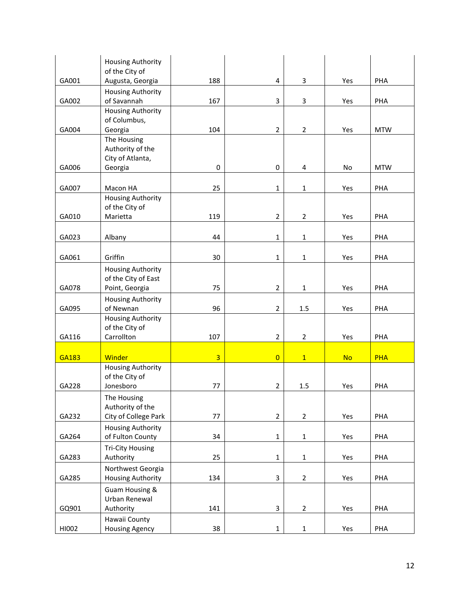|       | <b>Housing Authority</b><br>of the City of    |                |                         |                |           |            |
|-------|-----------------------------------------------|----------------|-------------------------|----------------|-----------|------------|
| GA001 | Augusta, Georgia                              | 188            | $\overline{\mathbf{4}}$ | 3              | Yes       | PHA        |
|       | <b>Housing Authority</b>                      |                |                         |                |           |            |
| GA002 | of Savannah                                   | 167            | 3                       | 3              | Yes       | PHA        |
|       | <b>Housing Authority</b>                      |                |                         |                |           |            |
| GA004 | of Columbus,<br>Georgia                       | 104            | $\overline{2}$          | $\overline{2}$ | Yes       | <b>MTW</b> |
|       | The Housing                                   |                |                         |                |           |            |
|       | Authority of the                              |                |                         |                |           |            |
|       | City of Atlanta,                              |                |                         |                |           |            |
| GA006 | Georgia                                       | 0              | 0                       | 4              | No        | <b>MTW</b> |
| GA007 | Macon HA                                      | 25             | $\mathbf{1}$            | $\mathbf{1}$   | Yes       | PHA        |
|       | <b>Housing Authority</b>                      |                |                         |                |           |            |
|       | of the City of                                |                |                         |                |           |            |
| GA010 | Marietta                                      | 119            | $\overline{2}$          | $\overline{2}$ | Yes       | PHA        |
|       |                                               |                |                         |                |           |            |
| GA023 | Albany                                        | 44             | $\mathbf{1}$            | 1              | Yes       | PHA        |
| GA061 | Griffin                                       | 30             | $\mathbf{1}$            | 1              | Yes       | PHA        |
|       | <b>Housing Authority</b>                      |                |                         |                |           |            |
|       | of the City of East                           |                |                         |                |           |            |
| GA078 | Point, Georgia                                | 75             | $\overline{2}$          | $\mathbf{1}$   | Yes       | PHA        |
|       | <b>Housing Authority</b>                      |                |                         |                |           |            |
| GA095 | of Newnan                                     | 96             | $\overline{2}$          | 1.5            | Yes       | PHA        |
|       | <b>Housing Authority</b><br>of the City of    |                |                         |                |           |            |
| GA116 | Carrollton                                    | 107            | $\overline{2}$          | $\overline{2}$ | Yes       | PHA        |
|       |                                               |                |                         |                |           |            |
| GA183 | <b>Winder</b>                                 | $\overline{3}$ | $\overline{0}$          | $\mathbf{1}$   | <b>No</b> | <b>PHA</b> |
|       | <b>Housing Authority</b>                      |                |                         |                |           |            |
| GA228 | of the City of<br>Jonesboro                   | 77             | $\overline{2}$          | 1.5            | Yes       | PHA        |
|       | The Housing                                   |                |                         |                |           |            |
|       | Authority of the                              |                |                         |                |           |            |
| GA232 | City of College Park                          | 77             | $\overline{2}$          | $\overline{2}$ | Yes       | PHA        |
|       | <b>Housing Authority</b>                      |                |                         |                |           |            |
| GA264 | of Fulton County                              | 34             | $\mathbf 1$             | $\mathbf 1$    | Yes       | PHA        |
|       | <b>Tri-City Housing</b>                       |                |                         |                |           |            |
| GA283 | Authority                                     | 25             | $\mathbf 1$             | $\mathbf{1}$   | Yes       | PHA        |
| GA285 | Northwest Georgia<br><b>Housing Authority</b> | 134            | 3                       | $\overline{2}$ | Yes       | PHA        |
|       | Guam Housing &                                |                |                         |                |           |            |
|       | Urban Renewal                                 |                |                         |                |           |            |
| GQ901 | Authority                                     | 141            | 3                       | $\overline{2}$ | Yes       | PHA        |
|       | Hawaii County                                 |                |                         |                |           |            |
| HI002 | <b>Housing Agency</b>                         | 38             | $\mathbf 1$             | $\mathbf 1$    | Yes       | PHA        |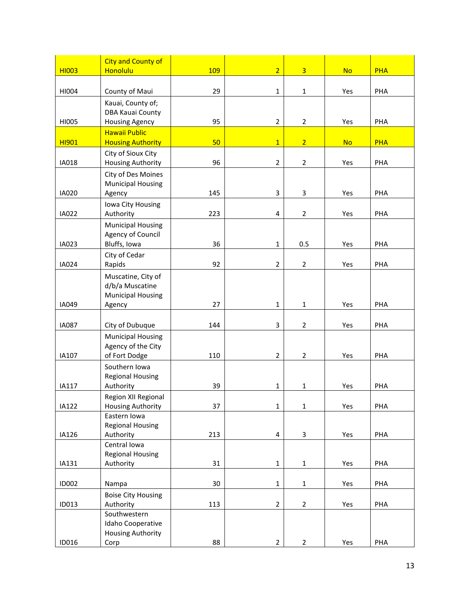| <b>HI003</b> | <b>City and County of</b><br><b>Honolulu</b>     | 109    | $\overline{2}$          | $\overline{3}$ | <b>No</b> | <b>PHA</b> |
|--------------|--------------------------------------------------|--------|-------------------------|----------------|-----------|------------|
|              |                                                  |        |                         |                |           |            |
| HI004        | County of Maui                                   | 29     | $\mathbf{1}$            | $\mathbf{1}$   | Yes       | PHA        |
|              | Kauai, County of;                                |        |                         |                |           |            |
| HI005        | <b>DBA Kauai County</b><br><b>Housing Agency</b> | 95     | $\overline{2}$          | $\overline{2}$ | Yes       | PHA        |
|              | <b>Hawaii Public</b>                             |        |                         |                |           |            |
| <b>HI901</b> | <b>Housing Authority</b>                         | 50     | $\overline{1}$          | 2 <sup>1</sup> | <b>No</b> | <b>PHA</b> |
|              | City of Sioux City                               |        |                         |                |           |            |
| IA018        | <b>Housing Authority</b>                         | 96     | $\overline{2}$          | $\overline{2}$ | Yes       | PHA        |
|              | City of Des Moines<br><b>Municipal Housing</b>   |        |                         |                |           |            |
| <b>IA020</b> | Agency                                           | 145    | 3                       | 3              | Yes       | PHA        |
|              | Iowa City Housing                                |        |                         |                |           |            |
| IA022        | Authority                                        | 223    | $\overline{\mathbf{4}}$ | $\overline{2}$ | Yes       | PHA        |
|              | <b>Municipal Housing</b>                         |        |                         |                |           |            |
| IA023        | Agency of Council<br>Bluffs, Iowa                | 36     | $\mathbf{1}$            | 0.5            | Yes       | PHA        |
|              | City of Cedar                                    |        |                         |                |           |            |
| <b>IA024</b> | Rapids                                           | 92     | $\overline{2}$          | $\overline{2}$ | Yes       | PHA        |
|              | Muscatine, City of                               |        |                         |                |           |            |
|              | d/b/a Muscatine                                  |        |                         |                |           |            |
| IA049        | <b>Municipal Housing</b><br>Agency               | 27     | $\mathbf{1}$            | $\mathbf{1}$   | Yes       | PHA        |
|              |                                                  |        |                         |                |           |            |
| <b>IA087</b> | City of Dubuque                                  | 144    | 3                       | $\overline{2}$ | Yes       | PHA        |
|              | <b>Municipal Housing</b>                         |        |                         |                |           |            |
| IA107        | Agency of the City<br>of Fort Dodge              |        | $\overline{2}$          |                |           | PHA        |
|              | Southern Iowa                                    | 110    |                         | $\overline{2}$ | Yes       |            |
|              | <b>Regional Housing</b>                          |        |                         |                |           |            |
| IA117        | Authority                                        | 39     | $\mathbf{1}$            | $\mathbf 1$    | Yes       | PHA        |
|              | Region XII Regional                              |        |                         |                |           |            |
| <b>IA122</b> | <b>Housing Authority</b><br>Eastern Iowa         | 37     | $\mathbf 1$             | $\mathbf 1$    | Yes       | PHA        |
|              | <b>Regional Housing</b>                          |        |                         |                |           |            |
| IA126        | Authority                                        | 213    | $\overline{\mathbf{4}}$ | 3              | Yes       | PHA        |
|              | Central Iowa                                     |        |                         |                |           |            |
| IA131        | <b>Regional Housing</b><br>Authority             | 31     | $\mathbf 1$             | $\mathbf{1}$   | Yes       | PHA        |
|              |                                                  |        |                         |                |           |            |
| <b>ID002</b> | Nampa                                            | $30\,$ | $\mathbf 1$             | $\mathbf{1}$   | Yes       | PHA        |
|              | <b>Boise City Housing</b>                        |        |                         |                |           |            |
| ID013        | Authority<br>Southwestern                        | 113    | $\overline{2}$          | $\overline{2}$ | Yes       | PHA        |
|              | Idaho Cooperative                                |        |                         |                |           |            |
|              | <b>Housing Authority</b>                         |        |                         |                |           |            |
| ID016        | Corp                                             | 88     | $\overline{2}$          | $\overline{2}$ | Yes       | PHA        |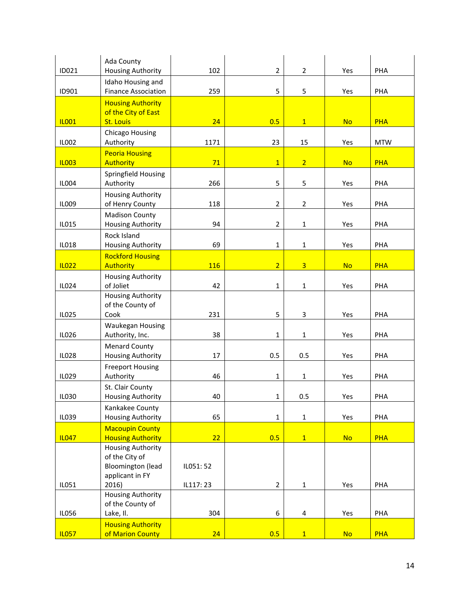| ID021        | Ada County<br><b>Housing Authority</b>                                                    | 102        | $\overline{2}$ | $\overline{2}$ | Yes       | PHA        |
|--------------|-------------------------------------------------------------------------------------------|------------|----------------|----------------|-----------|------------|
| ID901        | Idaho Housing and<br><b>Finance Association</b>                                           | 259        | 5              | 5              | Yes       | PHA        |
| <b>IL001</b> | <b>Housing Authority</b><br>of the City of East<br><b>St. Louis</b>                       | 24         | 0.5            | $\mathbf{1}$   | <b>No</b> | <b>PHA</b> |
|              | Chicago Housing                                                                           |            |                |                |           |            |
| <b>IL002</b> | Authority                                                                                 | 1171       | 23             | 15             | Yes       | <b>MTW</b> |
| <b>IL003</b> | <b>Peoria Housing</b><br><b>Authority</b>                                                 | 71         | $\mathbf{1}$   | $\overline{2}$ | <b>No</b> | <b>PHA</b> |
| <b>IL004</b> | Springfield Housing<br>Authority                                                          | 266        | 5              | 5              | Yes       | PHA        |
| <b>IL009</b> | <b>Housing Authority</b><br>of Henry County                                               | 118        | $\overline{2}$ | $\overline{2}$ | Yes       | PHA        |
| IL015        | <b>Madison County</b><br><b>Housing Authority</b>                                         | 94         | $\overline{2}$ | 1              | Yes       | PHA        |
| <b>IL018</b> | Rock Island<br><b>Housing Authority</b>                                                   | 69         | 1              | $\mathbf 1$    | Yes       | PHA        |
| <b>IL022</b> | <b>Rockford Housing</b><br><b>Authority</b>                                               | <b>116</b> | $\overline{2}$ | $\overline{3}$ | <b>No</b> | <b>PHA</b> |
| IL024        | <b>Housing Authority</b><br>of Joliet                                                     | 42         | $\mathbf 1$    | $\mathbf 1$    | Yes       | PHA        |
| IL025        | <b>Housing Authority</b><br>of the County of<br>Cook                                      | 231        | 5              | 3              | Yes       | PHA        |
| IL026        | Waukegan Housing<br>Authority, Inc.                                                       | 38         | $\mathbf{1}$   | $\mathbf 1$    | Yes       | PHA        |
| <b>IL028</b> | <b>Menard County</b><br>Housing Authority                                                 | 17         | 0.5            | 0.5            | Yes       | PHA        |
| IL029        | <b>Freeport Housing</b><br>Authority                                                      | 46         | $\mathbf 1$    | $\mathbf 1$    | Yes       | PHA        |
| <b>IL030</b> | St. Clair County<br><b>Housing Authority</b>                                              | 40         | 1              | 0.5            | Yes       | PHA        |
| IL039        | Kankakee County<br><b>Housing Authority</b>                                               | 65         | $\mathbf{1}$   | $\mathbf{1}$   | Yes       | PHA        |
| <b>IL047</b> | <b>Macoupin County</b><br><b>Housing Authority</b>                                        | 22         | 0.5            | $\overline{1}$ | <b>No</b> | <b>PHA</b> |
|              | <b>Housing Authority</b><br>of the City of<br><b>Bloomington (lead</b><br>applicant in FY | IL051:52   |                |                |           |            |
| IL051        | 2016)<br>Housing Authority                                                                | IL117: 23  | $\overline{2}$ | $\mathbf{1}$   | Yes       | PHA        |
|              | of the County of                                                                          |            |                |                |           |            |
| <b>IL056</b> | Lake, II.                                                                                 | 304        | 6              | 4              | Yes       | PHA        |
| <b>IL057</b> | <b>Housing Authority</b><br>of Marion County                                              | 24         | 0.5            | $\overline{1}$ | <b>No</b> | <b>PHA</b> |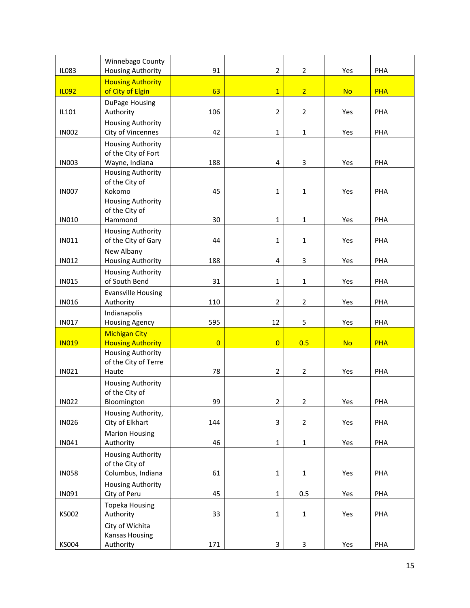| <b>IL083</b> | Winnebago County<br>Housing Authority                     | 91             | $\overline{2}$ | $\overline{2}$ | Yes       | PHA        |
|--------------|-----------------------------------------------------------|----------------|----------------|----------------|-----------|------------|
| <b>IL092</b> | <b>Housing Authority</b><br>of City of Elgin              | 63             | $\overline{1}$ | $\overline{2}$ | <b>No</b> | <b>PHA</b> |
|              | DuPage Housing                                            |                |                |                |           |            |
| IL101        | Authority<br><b>Housing Authority</b>                     | 106            | $\overline{2}$ | $\overline{2}$ | Yes       | PHA        |
| <b>IN002</b> | City of Vincennes<br><b>Housing Authority</b>             | 42             | $\mathbf{1}$   | 1              | Yes       | PHA        |
| <b>IN003</b> | of the City of Fort<br>Wayne, Indiana                     | 188            | 4              | 3              | Yes       | PHA        |
| <b>IN007</b> | <b>Housing Authority</b><br>of the City of<br>Kokomo      | 45             | $\mathbf{1}$   | $\mathbf 1$    | Yes       | PHA        |
|              | <b>Housing Authority</b>                                  |                |                |                |           |            |
| <b>IN010</b> | of the City of<br>Hammond                                 | 30             | $\mathbf{1}$   | $\mathbf 1$    | Yes       | PHA        |
| <b>IN011</b> | <b>Housing Authority</b><br>of the City of Gary           | 44             | $\mathbf{1}$   | $\mathbf{1}$   | Yes       | PHA        |
| <b>IN012</b> | New Albany<br><b>Housing Authority</b>                    | 188            | 4              | 3              | Yes       | PHA        |
| <b>IN015</b> | <b>Housing Authority</b><br>of South Bend                 | 31             | $\mathbf{1}$   | 1              | Yes       | PHA        |
| <b>IN016</b> | <b>Evansville Housing</b><br>Authority                    | 110            | $\overline{2}$ | $\overline{2}$ | Yes       | PHA        |
| <b>IN017</b> | Indianapolis<br><b>Housing Agency</b>                     | 595            | 12             | 5              | Yes       | PHA        |
| <b>IN019</b> | <b>Michigan City</b><br><b>Housing Authority</b>          | $\overline{0}$ | $\overline{0}$ | 0.5            | <b>No</b> | <b>PHA</b> |
| <b>IN021</b> | <b>Housing Authority</b><br>of the City of Terre<br>Haute | 78             | $\overline{2}$ | 2              | Yes       | PHA        |
|              | <b>Housing Authority</b><br>of the City of                |                |                |                |           |            |
| <b>IN022</b> | Bloomington                                               | 99             | $\overline{2}$ | 2              | Yes       | PHA        |
| <b>IN026</b> | Housing Authority,<br>City of Elkhart                     | 144            | 3              | $\overline{2}$ | Yes       | PHA        |
| IN041        | <b>Marion Housing</b><br>Authority                        | 46             | $\mathbf 1$    | $\mathbf 1$    | Yes       | PHA        |
|              | <b>Housing Authority</b><br>of the City of                |                |                |                |           |            |
| <b>IN058</b> | Columbus, Indiana                                         | 61             | $\mathbf{1}$   | $\mathbf 1$    | Yes       | PHA        |
| IN091        | <b>Housing Authority</b><br>City of Peru                  | 45             | $\mathbf 1$    | 0.5            | Yes       | PHA        |
| <b>KS002</b> | <b>Topeka Housing</b><br>Authority                        | 33             | $\mathbf 1$    | $\mathbf{1}$   | Yes       | PHA        |
| <b>KS004</b> | City of Wichita<br><b>Kansas Housing</b><br>Authority     | 171            | 3              | $\mathsf{3}$   | Yes       | PHA        |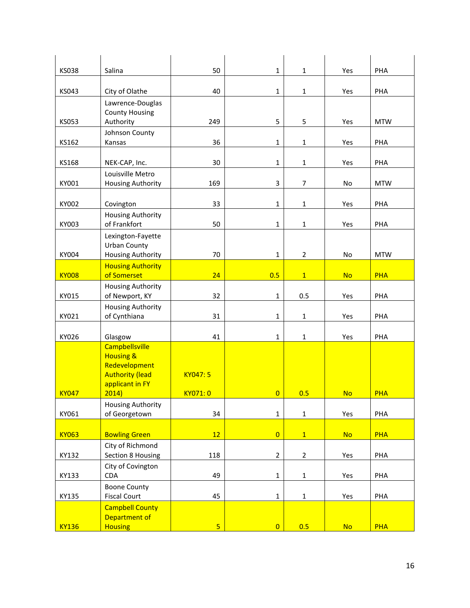| <b>KS038</b> | Salina                                          | 50       | $\mathbf{1}$   | $\mathbf{1}$   | Yes       | PHA        |
|--------------|-------------------------------------------------|----------|----------------|----------------|-----------|------------|
| KS043        | City of Olathe                                  | 40       | $\mathbf{1}$   | $\mathbf{1}$   | Yes       | PHA        |
|              | Lawrence-Douglas                                |          |                |                |           |            |
|              | <b>County Housing</b>                           |          |                |                |           |            |
| <b>KS053</b> | Authority                                       | 249      | 5              | 5              | Yes       | <b>MTW</b> |
| KS162        | Johnson County<br>Kansas                        | 36       | $\mathbf{1}$   | $\mathbf{1}$   | Yes       | PHA        |
|              |                                                 |          |                |                |           |            |
| KS168        | NEK-CAP, Inc.                                   | 30       | $\mathbf{1}$   | $\mathbf{1}$   | Yes       | PHA        |
|              | Louisville Metro                                |          |                |                |           |            |
| KY001        | Housing Authority                               | 169      | 3              | $\overline{7}$ | No        | <b>MTW</b> |
| KY002        | Covington                                       | 33       | 1              | $\mathbf{1}$   | Yes       | PHA        |
|              | <b>Housing Authority</b>                        |          |                |                |           |            |
| KY003        | of Frankfort                                    | 50       | $\mathbf{1}$   | $\mathbf{1}$   | Yes       | PHA        |
|              | Lexington-Fayette                               |          |                |                |           |            |
| KY004        | <b>Urban County</b><br><b>Housing Authority</b> | 70       | $\mathbf{1}$   | $\overline{2}$ | No        | <b>MTW</b> |
|              | <b>Housing Authority</b>                        |          |                |                |           |            |
| <b>KY008</b> | of Somerset                                     | 24       | 0.5            | $\mathbf{1}$   | <b>No</b> | <b>PHA</b> |
|              | <b>Housing Authority</b>                        |          |                |                |           |            |
| KY015        | of Newport, KY<br><b>Housing Authority</b>      | 32       | $\mathbf{1}$   | 0.5            | Yes       | PHA        |
| KY021        | of Cynthiana                                    | 31       | $\mathbf{1}$   | $\mathbf{1}$   | Yes       | PHA        |
|              |                                                 |          |                |                |           |            |
| KY026        | Glasgow                                         | 41       | $\mathbf{1}$   | $\mathbf{1}$   | Yes       | PHA        |
|              | <b>Campbellsville</b><br><b>Housing &amp;</b>   |          |                |                |           |            |
|              | Redevelopment                                   |          |                |                |           |            |
|              | <b>Authority (lead</b>                          | KY047: 5 |                |                |           |            |
| <b>KY047</b> | applicant in FY<br>2014                         | KY071: 0 | $\overline{0}$ | 0.5            | No        | <b>PHA</b> |
|              | <b>Housing Authority</b>                        |          |                |                |           |            |
| KY061        | of Georgetown                                   | 34       | $\mathbf 1$    | $\mathbf{1}$   | Yes       | PHA        |
|              |                                                 |          |                |                |           |            |
| <b>KY063</b> | <b>Bowling Green</b><br>City of Richmond        | 12       | $\overline{0}$ | 1              | <b>No</b> | <b>PHA</b> |
| KY132        | Section 8 Housing                               | 118      | $\overline{2}$ | $\overline{2}$ | Yes       | PHA        |
|              | City of Covington                               |          |                |                |           |            |
| KY133        | <b>CDA</b>                                      | 49       | $\mathbf 1$    | $\mathbf{1}$   | Yes       | PHA        |
| KY135        | <b>Boone County</b><br><b>Fiscal Court</b>      | 45       | $\mathbf 1$    | $\mathbf{1}$   | Yes       | PHA        |
|              | <b>Campbell County</b>                          |          |                |                |           |            |
|              | Department of                                   |          |                |                |           |            |
| <b>KY136</b> | <b>Housing</b>                                  | 5        | $\overline{0}$ | 0.5            | <b>No</b> | <b>PHA</b> |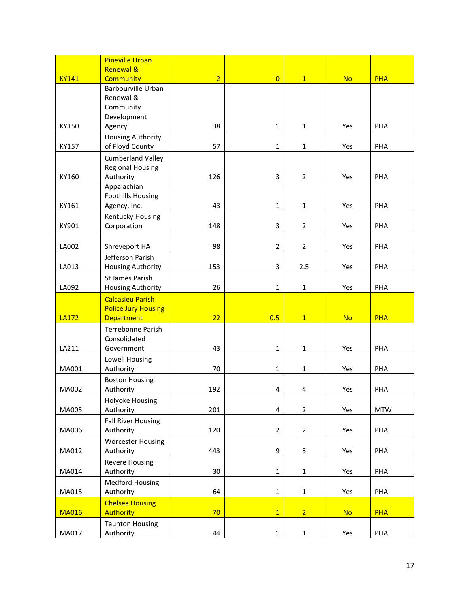|              | <b>Pineville Urban</b>                              |                |                         |                |           |            |
|--------------|-----------------------------------------------------|----------------|-------------------------|----------------|-----------|------------|
| <b>KY141</b> | <b>Renewal &amp;</b><br><b>Community</b>            | $\overline{2}$ | $\overline{0}$          | $\mathbf{1}$   | <b>No</b> | <b>PHA</b> |
|              | Barbourville Urban                                  |                |                         |                |           |            |
|              | Renewal &                                           |                |                         |                |           |            |
|              | Community                                           |                |                         |                |           |            |
|              | Development                                         |                |                         |                |           |            |
| KY150        | Agency                                              | 38             | $\mathbf{1}$            | $\mathbf{1}$   | Yes       | PHA        |
|              | <b>Housing Authority</b>                            |                |                         |                |           |            |
| KY157        | of Floyd County                                     | 57             | $\mathbf{1}$            | 1              | Yes       | PHA        |
|              | <b>Cumberland Valley</b><br><b>Regional Housing</b> |                |                         |                |           |            |
| KY160        | Authority                                           | 126            | 3                       | $\overline{2}$ | Yes       | PHA        |
|              | Appalachian                                         |                |                         |                |           |            |
|              | <b>Foothills Housing</b>                            |                |                         |                |           |            |
| KY161        | Agency, Inc.                                        | 43             | $\mathbf{1}$            | $\mathbf{1}$   | Yes       | PHA        |
|              | Kentucky Housing                                    |                |                         |                |           |            |
| KY901        | Corporation                                         | 148            | 3                       | $\overline{2}$ | Yes       | PHA        |
|              |                                                     |                |                         |                |           |            |
| LA002        | Shreveport HA                                       | 98             | $\overline{2}$          | $\overline{2}$ | Yes       | PHA        |
| LA013        | Jefferson Parish<br><b>Housing Authority</b>        | 153            | 3                       | 2.5            | Yes       | PHA        |
|              | <b>St James Parish</b>                              |                |                         |                |           |            |
| LA092        | <b>Housing Authority</b>                            | 26             | $\mathbf{1}$            | 1              | Yes       | PHA        |
|              | <b>Calcasieu Parish</b>                             |                |                         |                |           |            |
|              | <b>Police Jury Housing</b>                          |                |                         |                |           |            |
| <b>LA172</b> | <b>Department</b>                                   | 22             | 0.5                     | $\mathbf{1}$   | <b>No</b> | <b>PHA</b> |
|              | Terrebonne Parish                                   |                |                         |                |           |            |
|              | Consolidated                                        |                |                         |                |           |            |
| LA211        | Government                                          | 43             | $\mathbf{1}$            | $\mathbf{1}$   | Yes       | PHA        |
| MA001        | Lowell Housing<br>Authority                         | 70             | $\mathbf{1}$            | $\mathbf{1}$   | Yes       | PHA        |
|              | <b>Boston Housing</b>                               |                |                         |                |           |            |
| MA002        | Authority                                           | 192            | 4                       | 4              | Yes       | PHA        |
|              | <b>Holyoke Housing</b>                              |                |                         |                |           |            |
| MA005        | Authority                                           | 201            | $\overline{\mathbf{4}}$ | $\overline{2}$ | Yes       | <b>MTW</b> |
|              | <b>Fall River Housing</b>                           |                |                         |                |           |            |
| MA006        | Authority                                           | 120            | $\overline{2}$          | $\overline{2}$ | Yes       | PHA        |
|              | <b>Worcester Housing</b>                            |                |                         |                |           |            |
| MA012        | Authority                                           | 443            | 9                       | 5              | Yes       | PHA        |
|              | <b>Revere Housing</b>                               |                |                         |                |           |            |
| MA014        | Authority                                           | 30             | $\mathbf 1$             | $\mathbf{1}$   | Yes       | PHA        |
|              | <b>Medford Housing</b>                              | 64             |                         |                |           |            |
| MA015        | Authority<br><b>Chelsea Housing</b>                 |                | $\mathbf 1$             | $\mathbf 1$    | Yes       | PHA        |
| <b>MA016</b> | <b>Authority</b>                                    | 70             | $\mathbf{1}$            | $\overline{2}$ | <b>No</b> | <b>PHA</b> |
|              | <b>Taunton Housing</b>                              |                |                         |                |           |            |
| MA017        | Authority                                           | 44             | $\mathbf 1$             | $\mathbf{1}$   | Yes       | PHA        |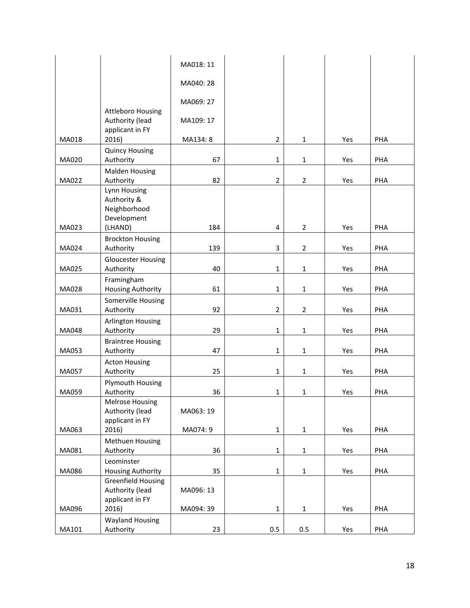|              |                                        | MA018: 11 |                |                |     |     |
|--------------|----------------------------------------|-----------|----------------|----------------|-----|-----|
|              |                                        | MA040: 28 |                |                |     |     |
|              |                                        |           |                |                |     |     |
|              | <b>Attleboro Housing</b>               | MA069: 27 |                |                |     |     |
|              | Authority (lead<br>applicant in FY     | MA109: 17 |                |                |     |     |
| MA018        | 2016)                                  | MA134: 8  | $\overline{2}$ | $\mathbf{1}$   | Yes | PHA |
|              | <b>Quincy Housing</b>                  |           |                |                |     |     |
| MA020        | Authority<br><b>Malden Housing</b>     | 67        | $\mathbf{1}$   | $\mathbf{1}$   | Yes | PHA |
| MA022        | Authority                              | 82        | $\overline{2}$ | $\overline{2}$ | Yes | PHA |
|              | Lynn Housing                           |           |                |                |     |     |
|              | Authority &<br>Neighborhood            |           |                |                |     |     |
|              | Development                            |           |                |                |     |     |
| MA023        | (LHAND)                                | 184       | 4              | $\overline{2}$ | Yes | PHA |
|              | <b>Brockton Housing</b>                |           |                |                |     |     |
| MA024        | Authority                              | 139       | 3              | $\overline{2}$ | Yes | PHA |
| MA025        | <b>Gloucester Housing</b><br>Authority | 40        | $\mathbf{1}$   | $\mathbf{1}$   | Yes | PHA |
|              | Framingham                             |           |                |                |     |     |
| MA028        | Housing Authority                      | 61        | $\mathbf{1}$   | $\mathbf{1}$   | Yes | PHA |
|              | Somerville Housing                     |           |                |                |     |     |
| MA031        | Authority                              | 92        | $\overline{2}$ | $\overline{2}$ | Yes | PHA |
| MA048        | Arlington Housing<br>Authority         | 29        | $\mathbf{1}$   | $\mathbf{1}$   | Yes | PHA |
|              | <b>Braintree Housing</b>               |           |                |                |     |     |
| MA053        | Authority                              | 47        | $\mathbf{1}$   | $\mathbf{1}$   | Yes | PHA |
|              | <b>Acton Housing</b>                   |           |                |                |     |     |
| <b>MA057</b> | Authority                              | 25        | $\mathbf{1}$   | $\mathbf{1}$   | Yes | PHA |
| MA059        | <b>Plymouth Housing</b><br>Authority   | 36        | $\mathbf{1}$   |                | Yes | PHA |
|              | <b>Melrose Housing</b>                 |           |                | 1              |     |     |
|              | Authority (lead                        | MA063: 19 |                |                |     |     |
|              | applicant in FY                        |           |                |                |     |     |
| MA063        | 2016)                                  | MA074: 9  | $\mathbf 1$    | $\mathbf 1$    | Yes | PHA |
| MA081        | Methuen Housing<br>Authority           | 36        | $\mathbf 1$    | $\mathbf{1}$   | Yes | PHA |
|              | Leominster                             |           |                |                |     |     |
| MA086        | <b>Housing Authority</b>               | 35        | $\mathbf 1$    | $\mathbf 1$    | Yes | PHA |
|              | <b>Greenfield Housing</b>              |           |                |                |     |     |
|              | Authority (lead<br>applicant in FY     | MA096: 13 |                |                |     |     |
| MA096        | 2016)                                  | MA094: 39 | $\mathbf 1$    | $\mathbf{1}$   | Yes | PHA |
|              | <b>Wayland Housing</b>                 |           |                |                |     |     |
| MA101        | Authority                              | 23        | 0.5            | 0.5            | Yes | PHA |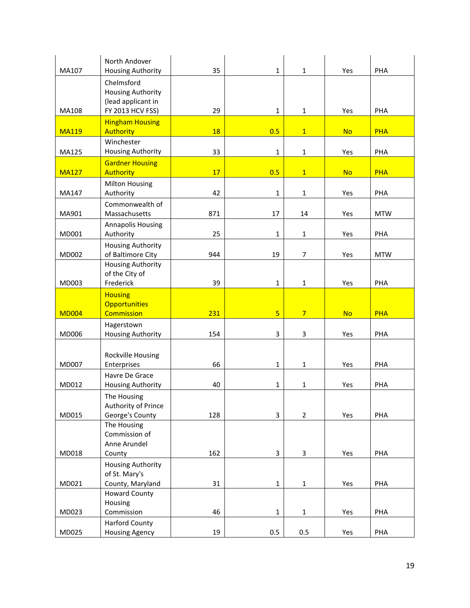| MA107        | North Andover<br><b>Housing Authority</b>      | 35        | $\mathbf{1}$   | $\mathbf{1}$   | Yes       | PHA        |
|--------------|------------------------------------------------|-----------|----------------|----------------|-----------|------------|
|              | Chelmsford                                     |           |                |                |           |            |
|              | <b>Housing Authority</b><br>(lead applicant in |           |                |                |           |            |
| MA108        | FY 2013 HCV FSS)                               | 29        | $\mathbf{1}$   | $\mathbf{1}$   | Yes       | PHA        |
| <b>MA119</b> | <b>Hingham Housing</b><br><b>Authority</b>     | <b>18</b> | 0.5            | $\mathbf{1}$   | <b>No</b> | <b>PHA</b> |
| MA125        | Winchester<br><b>Housing Authority</b>         | 33        | $\mathbf{1}$   | 1              | Yes       | PHA        |
|              | <b>Gardner Housing</b>                         |           |                |                |           |            |
| <b>MA127</b> | <b>Authority</b>                               | 17        | 0.5            | $\mathbf{1}$   | <b>No</b> | <b>PHA</b> |
| MA147        | <b>Milton Housing</b><br>Authority             | 42        | $\mathbf{1}$   | $\mathbf{1}$   | Yes       | PHA        |
| MA901        | Commonwealth of<br>Massachusetts               | 871       | 17             | 14             | Yes       | <b>MTW</b> |
| MD001        | <b>Annapolis Housing</b><br>Authority          | 25        | $\mathbf{1}$   | $\mathbf{1}$   | Yes       | PHA        |
| MD002        | <b>Housing Authority</b><br>of Baltimore City  | 944       | 19             | $\overline{7}$ | Yes       | <b>MTW</b> |
|              | <b>Housing Authority</b>                       |           |                |                |           |            |
| MD003        | of the City of<br>Frederick                    | 39        | $\mathbf{1}$   | $\mathbf 1$    | Yes       | PHA        |
|              | <b>Housing</b>                                 |           |                |                |           |            |
|              | <b>Opportunities</b>                           |           |                |                |           |            |
| <b>MD004</b> | Commission                                     | 231       | $\overline{5}$ | $\overline{7}$ | <b>No</b> | <b>PHA</b> |
| MD006        | Hagerstown<br>Housing Authority                | 154       | 3              | 3              | Yes       | PHA        |
|              |                                                |           |                |                |           |            |
| <b>MD007</b> | Rockville Housing<br>Enterprises               | 66        | $\mathbf{1}$   | 1              | Yes       | PHA        |
|              | Havre De Grace                                 |           |                |                |           |            |
| MD012        | <b>Housing Authority</b>                       | 40        | $\mathbf{1}$   | 1              | Yes       | PHA        |
|              | The Housing                                    |           |                |                |           |            |
| MD015        | Authority of Prince<br>George's County         | 128       | 3              | $\overline{2}$ | Yes       | PHA        |
|              | The Housing                                    |           |                |                |           |            |
|              | Commission of                                  |           |                |                |           |            |
|              | Anne Arundel                                   |           |                |                |           |            |
| MD018        | County<br><b>Housing Authority</b>             | 162       | 3              | 3              | Yes       | PHA        |
|              | of St. Mary's                                  |           |                |                |           |            |
| MD021        | County, Maryland                               | 31        | $\mathbf 1$    | $\mathbf 1$    | Yes       | PHA        |
|              | <b>Howard County</b>                           |           |                |                |           |            |
| MD023        | Housing<br>Commission                          | 46        | $\mathbf 1$    | $\mathbf{1}$   | Yes       | PHA        |
|              | <b>Harford County</b>                          |           |                |                |           |            |
| MD025        | <b>Housing Agency</b>                          | 19        | 0.5            | 0.5            | Yes       | PHA        |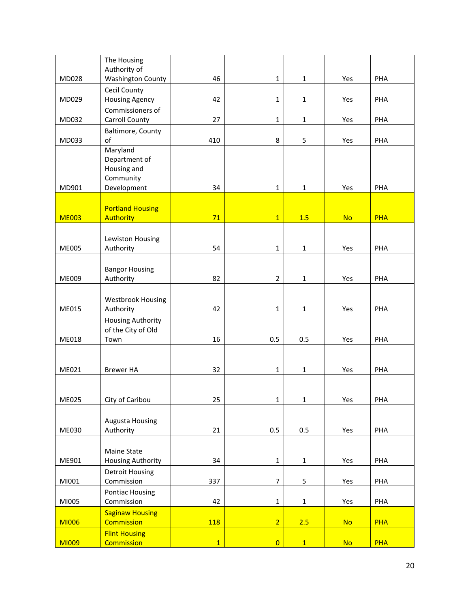|              | The Housing<br>Authority of                    |              |                |              |           |            |
|--------------|------------------------------------------------|--------------|----------------|--------------|-----------|------------|
| MD028        | <b>Washington County</b>                       | 46           | $\mathbf 1$    | $\mathbf{1}$ | Yes       | PHA        |
|              | Cecil County                                   |              |                |              |           |            |
| MD029        | <b>Housing Agency</b>                          | 42           | $\mathbf{1}$   | $\mathbf 1$  | Yes       | PHA        |
|              | Commissioners of                               |              |                |              |           |            |
| MD032        | Carroll County                                 | 27           | $\mathbf{1}$   | $\mathbf{1}$ | Yes       | PHA        |
| MD033        | Baltimore, County<br>of                        | 410          | 8              | 5            | Yes       | PHA        |
|              | Maryland                                       |              |                |              |           |            |
|              | Department of                                  |              |                |              |           |            |
|              | Housing and                                    |              |                |              |           |            |
| MD901        | Community<br>Development                       | 34           | $\mathbf 1$    | $\mathbf 1$  | Yes       | PHA        |
|              |                                                |              |                |              |           |            |
|              | <b>Portland Housing</b>                        |              |                |              |           |            |
| <b>ME003</b> | <b>Authority</b>                               | 71           | $\overline{1}$ | 1.5          | <b>No</b> | <b>PHA</b> |
|              |                                                |              |                |              |           |            |
| <b>ME005</b> | Lewiston Housing<br>Authority                  | 54           | $\mathbf{1}$   | $\mathbf 1$  | Yes       | PHA        |
|              |                                                |              |                |              |           |            |
|              | <b>Bangor Housing</b>                          |              |                |              |           |            |
| ME009        | Authority                                      | 82           | $\overline{2}$ | $\mathbf{1}$ | Yes       | PHA        |
|              |                                                |              |                |              |           |            |
|              | <b>Westbrook Housing</b>                       |              |                |              |           |            |
| ME015        | Authority                                      | 42           | $\mathbf{1}$   | $\mathbf{1}$ | Yes       | PHA        |
|              | <b>Housing Authority</b><br>of the City of Old |              |                |              |           |            |
| <b>ME018</b> | Town                                           | 16           | 0.5            | 0.5          | Yes       | PHA        |
|              |                                                |              |                |              |           |            |
|              |                                                |              |                |              |           |            |
| ME021        | <b>Brewer HA</b>                               | 32           | $\mathbf{1}$   | $\mathbf 1$  | Yes       | PHA        |
|              |                                                |              |                |              |           |            |
| <b>ME025</b> | City of Caribou                                | 25           | $\mathbf 1$    | $\mathbf{1}$ | Yes       | PHA        |
|              |                                                |              |                |              |           |            |
|              | <b>Augusta Housing</b>                         |              |                |              |           |            |
| <b>ME030</b> | Authority                                      | 21           | 0.5            | 0.5          | Yes       | PHA        |
|              | Maine State                                    |              |                |              |           |            |
| ME901        | Housing Authority                              | 34           | $\mathbf 1$    | $\mathbf{1}$ | Yes       | PHA        |
|              | <b>Detroit Housing</b>                         |              |                |              |           |            |
| MI001        | Commission                                     | 337          | $\overline{7}$ | 5            | Yes       | PHA        |
|              | <b>Pontiac Housing</b>                         |              |                |              |           |            |
| MI005        | Commission                                     | 42           | $\mathbf{1}$   | $\mathbf 1$  | Yes       | PHA        |
|              | <b>Saginaw Housing</b>                         |              |                |              |           |            |
| <b>MI006</b> | <b>Commission</b><br><b>Flint Housing</b>      | 118          | $\overline{2}$ | 2.5          | <b>No</b> | <b>PHA</b> |
| <b>MI009</b> | Commission                                     | $\mathbf{1}$ | $\overline{0}$ | $\mathbf{1}$ | <b>No</b> | <b>PHA</b> |
|              |                                                |              |                |              |           |            |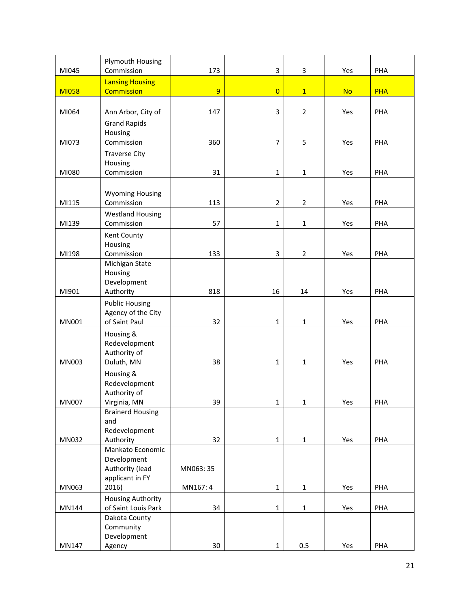| MI045        | Plymouth Housing<br>Commission | 173      | 3              | 3              | Yes       | PHA        |
|--------------|--------------------------------|----------|----------------|----------------|-----------|------------|
|              | <b>Lansing Housing</b>         |          |                |                |           |            |
| <b>MI058</b> | <b>Commission</b>              | 9        | $\overline{0}$ | $\mathbf{1}$   | <b>No</b> | <b>PHA</b> |
|              |                                |          |                |                |           |            |
| MI064        | Ann Arbor, City of             | 147      | 3              | $\overline{2}$ | Yes       | PHA        |
|              | <b>Grand Rapids</b>            |          |                |                |           |            |
|              | Housing                        |          |                |                |           |            |
| MI073        | Commission                     | 360      | $\overline{7}$ | 5              | Yes       | PHA        |
|              | <b>Traverse City</b>           |          |                |                |           |            |
|              | Housing                        |          |                |                |           |            |
| MI080        | Commission                     | 31       | $\mathbf{1}$   | $\mathbf{1}$   | Yes       | PHA        |
|              |                                |          |                |                |           |            |
|              | <b>Wyoming Housing</b>         |          |                |                |           |            |
| MI115        | Commission                     | 113      | $\overline{2}$ | $\overline{2}$ | Yes       | PHA        |
|              | <b>Westland Housing</b>        |          |                |                |           |            |
| MI139        | Commission                     | 57       | $\mathbf 1$    | $\mathbf 1$    | Yes       | PHA        |
|              | Kent County                    |          |                |                |           |            |
|              | Housing                        |          |                |                |           |            |
| MI198        | Commission                     | 133      | 3              | $\overline{2}$ | Yes       | PHA        |
|              | Michigan State                 |          |                |                |           |            |
|              | Housing<br>Development         |          |                |                |           |            |
| MI901        | Authority                      | 818      | 16             | 14             | Yes       | PHA        |
|              | <b>Public Housing</b>          |          |                |                |           |            |
|              | Agency of the City             |          |                |                |           |            |
| MN001        | of Saint Paul                  | 32       | $\mathbf{1}$   | $\mathbf{1}$   | Yes       | PHA        |
|              | Housing &                      |          |                |                |           |            |
|              | Redevelopment                  |          |                |                |           |            |
|              | Authority of                   |          |                |                |           |            |
| <b>MN003</b> | Duluth, MN                     | 38       | $\mathbf 1$    | $\mathbf 1$    | Yes       | PHA        |
|              | Housing &                      |          |                |                |           |            |
|              | Redevelopment                  |          |                |                |           |            |
|              | Authority of                   |          |                |                |           |            |
| <b>MN007</b> | Virginia, MN                   | 39       | $\mathbf{1}$   | 1              | Yes       | PHA        |
|              | <b>Brainerd Housing</b><br>and |          |                |                |           |            |
|              | Redevelopment                  |          |                |                |           |            |
| MN032        | Authority                      | 32       | $\mathbf 1$    | $\mathbf 1$    | Yes       | PHA        |
|              | Mankato Economic               |          |                |                |           |            |
|              | Development                    |          |                |                |           |            |
|              | Authority (lead                | MN063:35 |                |                |           |            |
|              | applicant in FY                |          |                |                |           |            |
| MN063        | 2016)                          | MN167: 4 | $\mathbf{1}$   | $\mathbf{1}$   | Yes       | PHA        |
|              | <b>Housing Authority</b>       |          |                |                |           |            |
| MN144        | of Saint Louis Park            | 34       | $\mathbf 1$    | $\mathbf 1$    | Yes       | PHA        |
|              | Dakota County<br>Community     |          |                |                |           |            |
|              | Development                    |          |                |                |           |            |
| MN147        | Agency                         | 30       | $\mathbf{1}$   | 0.5            | Yes       | PHA        |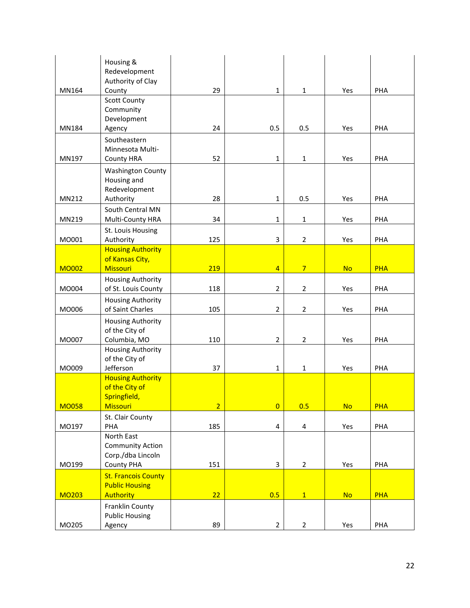|              | Housing &<br>Redevelopment                              |                |                         |                 |           |            |
|--------------|---------------------------------------------------------|----------------|-------------------------|-----------------|-----------|------------|
|              | Authority of Clay                                       |                |                         |                 |           |            |
| MN164        | County<br><b>Scott County</b><br>Community              | 29             | $\mathbf{1}$            | $\mathbf{1}$    | Yes       | PHA        |
|              | Development                                             |                |                         |                 |           |            |
| MN184        | Agency                                                  | 24             | 0.5                     | 0.5             | Yes       | PHA        |
| MN197        | Southeastern<br>Minnesota Multi-                        | 52             | $\mathbf{1}$            | $\mathbf{1}$    | Yes       | PHA        |
|              | <b>County HRA</b><br><b>Washington County</b>           |                |                         |                 |           |            |
|              | Housing and<br>Redevelopment                            |                |                         |                 |           |            |
| MN212        | Authority                                               | 28             | $\mathbf{1}$            | 0.5             | Yes       | PHA        |
| MN219        | South Central MN<br>Multi-County HRA                    | 34             | $\mathbf{1}$            | 1               | Yes       | PHA        |
| MO001        | St. Louis Housing<br>Authority                          | 125            | 3                       | $\overline{2}$  | Yes       | PHA        |
|              | <b>Housing Authority</b>                                |                |                         |                 |           |            |
| <b>MO002</b> | of Kansas City,<br><b>Missouri</b>                      | 219            | $\overline{4}$          | $7\overline{ }$ | <b>No</b> | <b>PHA</b> |
| MO004        | <b>Housing Authority</b><br>of St. Louis County         | 118            | $\overline{2}$          | $\overline{2}$  | Yes       | PHA        |
| MO006        | <b>Housing Authority</b><br>of Saint Charles            | 105            | $\overline{2}$          | $\overline{2}$  | Yes       | PHA        |
|              | <b>Housing Authority</b><br>of the City of              |                |                         |                 |           |            |
| MO007        | Columbia, MO                                            | 110            | $\overline{2}$          | $\overline{2}$  | Yes       | PHA        |
| MO009        | <b>Housing Authority</b><br>of the City of<br>Jefferson | 37             | $\mathbf{1}$            | $\mathbf 1$     | Yes       | PHA        |
|              | <b>Housing Authority</b><br>of the City of              |                |                         |                 |           |            |
|              | Springfield,                                            |                |                         |                 |           |            |
| <b>MO058</b> | <b>Missouri</b>                                         | $\overline{2}$ | $\overline{\mathbf{0}}$ | 0.5             | <b>No</b> | <b>PHA</b> |
| MO197        | St. Clair County<br>PHA                                 | 185            | $\pmb{4}$               | 4               | Yes       | PHA        |
|              | North East                                              |                |                         |                 |           |            |
|              | <b>Community Action</b>                                 |                |                         |                 |           |            |
| MO199        | Corp./dba Lincoln<br><b>County PHA</b>                  | 151            | 3                       | $\overline{2}$  | Yes       | PHA        |
|              | <b>St. Francois County</b>                              |                |                         |                 |           |            |
|              | <b>Public Housing</b>                                   |                |                         |                 |           |            |
| <b>MO203</b> | <b>Authority</b>                                        | 22             | 0.5                     | 1               | <b>No</b> | <b>PHA</b> |
|              | Franklin County<br><b>Public Housing</b>                |                |                         |                 |           |            |
| MO205        | Agency                                                  | 89             | $\overline{2}$          | $\overline{a}$  | Yes       | PHA        |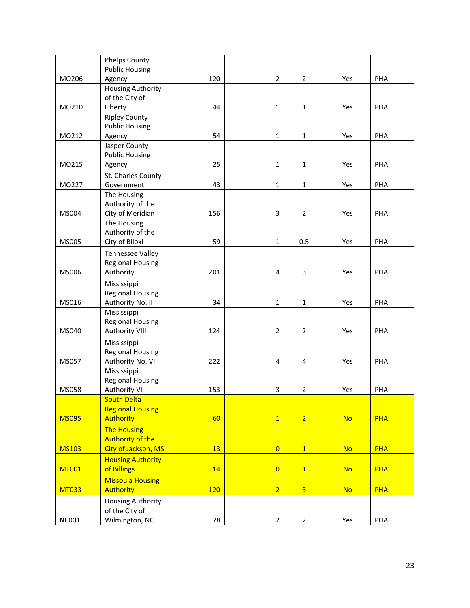|              | <b>Phelps County</b>               |     |                |                |           |            |
|--------------|------------------------------------|-----|----------------|----------------|-----------|------------|
| MO206        | <b>Public Housing</b>              | 120 | $\mathbf 2$    | $\overline{2}$ | Yes       | PHA        |
|              | Agency<br><b>Housing Authority</b> |     |                |                |           |            |
|              | of the City of                     |     |                |                |           |            |
| MO210        | Liberty                            | 44  | $\mathbf{1}$   | $\mathbf 1$    | Yes       | PHA        |
|              | <b>Ripley County</b>               |     |                |                |           |            |
|              | <b>Public Housing</b>              |     |                |                |           |            |
| MO212        | Agency                             | 54  | $\mathbf{1}$   | $\mathbf 1$    | Yes       | PHA        |
|              | Jasper County                      |     |                |                |           |            |
|              | <b>Public Housing</b>              |     |                |                |           |            |
| MO215        | Agency                             | 25  | $\mathbf{1}$   | $\mathbf 1$    | Yes       | PHA        |
|              | St. Charles County                 |     |                |                |           |            |
| MO227        | Government                         | 43  | $\mathbf 1$    | 1              | Yes       | PHA        |
|              | The Housing                        |     |                |                |           |            |
|              | Authority of the                   |     |                |                |           |            |
| MS004        | City of Meridian                   | 156 | 3              | $\overline{2}$ | Yes       | PHA        |
|              | The Housing                        |     |                |                |           |            |
|              | Authority of the                   |     |                |                |           |            |
| MS005        | City of Biloxi                     | 59  | $\mathbf 1$    | 0.5            | Yes       | PHA        |
|              | <b>Tennessee Valley</b>            |     |                |                |           |            |
|              | <b>Regional Housing</b>            |     |                |                |           |            |
| MS006        | Authority                          | 201 | 4              | 3              | Yes       | PHA        |
|              | Mississippi                        |     |                |                |           |            |
|              | <b>Regional Housing</b>            |     |                |                |           |            |
| MS016        | Authority No. II                   | 34  | $\mathbf{1}$   | $\mathbf 1$    | Yes       | PHA        |
|              | Mississippi                        |     |                |                |           |            |
|              | <b>Regional Housing</b>            |     |                |                |           |            |
| MS040        | <b>Authority VIII</b>              | 124 | $\overline{2}$ | $\overline{2}$ | Yes       | PHA        |
|              | Mississippi                        |     |                |                |           |            |
|              | <b>Regional Housing</b>            |     |                |                |           |            |
| MS057        | Authority No. VII                  | 222 | 4              | 4              | Yes       | PHA        |
|              | Mississippi                        |     |                |                |           |            |
|              | <b>Regional Housing</b>            |     |                |                |           |            |
| MS058        | <b>Authority VI</b>                | 153 | 3              | $\overline{2}$ | Yes       | PHA        |
|              | <b>South Delta</b>                 |     |                |                |           |            |
| <b>MS095</b> | <b>Regional Housing</b>            |     |                |                |           |            |
|              | <b>Authority</b>                   | 60  | $\overline{1}$ | $\overline{2}$ | <b>No</b> | <b>PHA</b> |
|              | <b>The Housing</b>                 |     |                |                |           |            |
|              | <b>Authority of the</b>            |     |                |                |           |            |
| <b>MS103</b> | City of Jackson, MS                | 13  | $\overline{0}$ | 1              | <b>No</b> | <b>PHA</b> |
|              | <b>Housing Authority</b>           |     |                |                |           |            |
| <b>MT001</b> | of Billings                        | 14  | $\overline{0}$ | $\overline{1}$ | <b>No</b> | <b>PHA</b> |
|              | <b>Missoula Housing</b>            |     |                |                |           |            |
| <b>MT033</b> | <b>Authority</b>                   | 120 | $\overline{2}$ | $\overline{3}$ | <b>No</b> | <b>PHA</b> |
|              | <b>Housing Authority</b>           |     |                |                |           |            |
|              | of the City of                     |     |                |                |           |            |
| <b>NC001</b> | Wilmington, NC                     | 78  | $\overline{2}$ | $\overline{2}$ | Yes       | PHA        |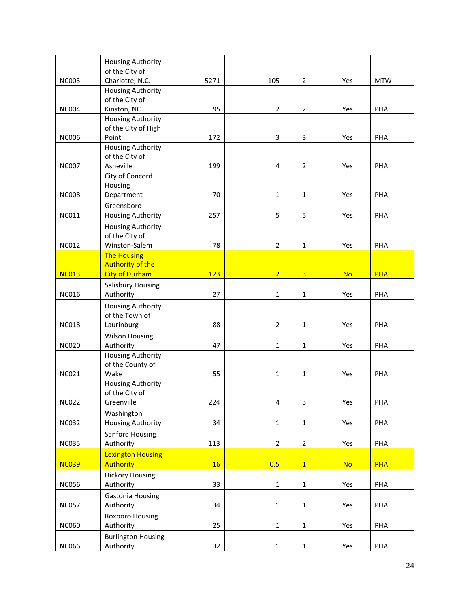|              | <b>Housing Authority</b><br>of the City of |      |                |                |           |            |
|--------------|--------------------------------------------|------|----------------|----------------|-----------|------------|
| <b>NC003</b> | Charlotte, N.C.                            | 5271 | 105            | $\overline{2}$ | Yes       | <b>MTW</b> |
|              | <b>Housing Authority</b>                   |      |                |                |           |            |
| <b>NC004</b> | of the City of<br>Kinston, NC              | 95   | $\overline{2}$ | $\overline{2}$ | Yes       | PHA        |
|              | <b>Housing Authority</b>                   |      |                |                |           |            |
|              | of the City of High                        |      |                |                |           |            |
| <b>NC006</b> | Point                                      | 172  | 3              | 3              | Yes       | PHA        |
|              | <b>Housing Authority</b>                   |      |                |                |           |            |
|              | of the City of                             |      |                |                |           |            |
| <b>NC007</b> | Asheville                                  | 199  | 4              | $\overline{2}$ | Yes       | PHA        |
|              | City of Concord                            |      |                |                |           |            |
| <b>NC008</b> | Housing                                    | 70   | $\mathbf{1}$   | $\mathbf{1}$   |           | PHA        |
|              | Department                                 |      |                |                | Yes       |            |
| <b>NC011</b> | Greensboro<br><b>Housing Authority</b>     | 257  | 5              | 5              | Yes       | PHA        |
|              |                                            |      |                |                |           |            |
|              | <b>Housing Authority</b><br>of the City of |      |                |                |           |            |
| <b>NC012</b> | Winston-Salem                              | 78   | $\mathbf 2$    | $\mathbf{1}$   | Yes       | PHA        |
|              | <b>The Housing</b>                         |      |                |                |           |            |
|              | <b>Authority of the</b>                    |      |                |                |           |            |
| <b>NC013</b> | <b>City of Durham</b>                      | 123  | $\overline{2}$ | $\overline{3}$ | <b>No</b> | <b>PHA</b> |
|              | <b>Salisbury Housing</b>                   |      |                |                |           |            |
| <b>NC016</b> | Authority                                  | 27   | $\mathbf{1}$   | $\mathbf{1}$   | Yes       | PHA        |
|              | <b>Housing Authority</b>                   |      |                |                |           |            |
|              | of the Town of                             |      |                |                |           |            |
| <b>NC018</b> | Laurinburg                                 | 88   | $\overline{2}$ | 1              | Yes       | PHA        |
|              | <b>Wilson Housing</b>                      |      |                |                |           |            |
| <b>NC020</b> | Authority                                  | 47   | $\mathbf{1}$   | $\mathbf{1}$   | Yes       | PHA        |
|              | <b>Housing Authority</b>                   |      |                |                |           |            |
|              | of the County of                           |      |                |                |           |            |
| <b>NC021</b> | Wake<br><b>Housing Authority</b>           | 55   | 1              | $\mathbf{1}$   | Yes       | PHA        |
|              | of the City of                             |      |                |                |           |            |
| <b>NC022</b> | Greenville                                 | 224  | 4              | 3              | Yes       | PHA        |
|              | Washington                                 |      |                |                |           |            |
| <b>NC032</b> | <b>Housing Authority</b>                   | 34   | $\mathbf{1}$   | $\mathbf{1}$   | Yes       | PHA        |
|              | Sanford Housing                            |      |                |                |           |            |
| <b>NC035</b> | Authority                                  | 113  | $\overline{2}$ | $\overline{2}$ | Yes       | PHA        |
|              | <b>Lexington Housing</b>                   |      |                |                |           |            |
| <b>NC039</b> | <b>Authority</b>                           | 16   | 0.5            | $\overline{1}$ | <b>No</b> | <b>PHA</b> |
|              | <b>Hickory Housing</b>                     |      |                |                |           |            |
| <b>NC056</b> | Authority                                  | 33   | $\mathbf 1$    | $1\,$          | Yes       | PHA        |
|              | <b>Gastonia Housing</b>                    |      |                |                |           |            |
| <b>NC057</b> | Authority                                  | 34   | $\mathbf 1$    | $\mathbf 1$    | Yes       | PHA        |
|              | Roxboro Housing                            |      |                |                |           |            |
| <b>NC060</b> | Authority                                  | 25   | $\mathbf 1$    | $\mathbf 1$    | Yes       | PHA        |
|              | <b>Burlington Housing</b>                  |      |                |                |           |            |
| <b>NC066</b> | Authority                                  | 32   | $\mathbf 1$    | $\mathbf{1}$   | Yes       | PHA        |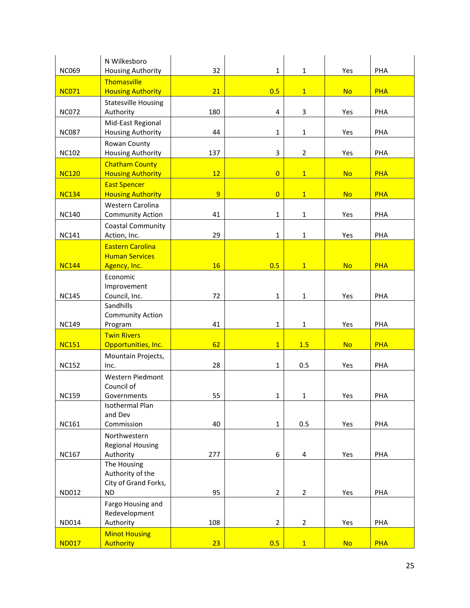| <b>NC069</b> | N Wilkesboro<br><b>Housing Authority</b>                             | 32             | $\mathbf{1}$   | $\mathbf{1}$   | Yes       | PHA        |
|--------------|----------------------------------------------------------------------|----------------|----------------|----------------|-----------|------------|
| <b>NC071</b> | Thomasville<br><b>Housing Authority</b>                              | 21             | 0.5            | $\mathbf{1}$   | <b>No</b> | <b>PHA</b> |
| <b>NC072</b> | <b>Statesville Housing</b><br>Authority                              | 180            | 4              | 3              | Yes       | PHA        |
| <b>NC087</b> | Mid-East Regional<br>Housing Authority                               | 44             | $\mathbf{1}$   | $\mathbf{1}$   | Yes       | PHA        |
| <b>NC102</b> | Rowan County<br><b>Housing Authority</b>                             | 137            | 3              | $\overline{2}$ | Yes       | PHA        |
| <b>NC120</b> | <b>Chatham County</b><br><b>Housing Authority</b>                    | 12             | $\overline{0}$ | $\overline{1}$ | <b>No</b> | <b>PHA</b> |
| <b>NC134</b> | <b>East Spencer</b><br><b>Housing Authority</b>                      | $\overline{9}$ | $\overline{0}$ | $\mathbf{1}$   | <b>No</b> | <b>PHA</b> |
| <b>NC140</b> | Western Carolina<br><b>Community Action</b>                          | 41             | $\mathbf{1}$   | $\mathbf 1$    | Yes       | PHA        |
| <b>NC141</b> | <b>Coastal Community</b><br>Action, Inc.                             | 29             | $\mathbf{1}$   | $\mathbf 1$    | Yes       | PHA        |
|              | <b>Eastern Carolina</b><br><b>Human Services</b>                     |                |                |                |           |            |
| <b>NC144</b> | Agency, Inc.                                                         | 16             | 0.5            | $\mathbf{1}$   | <b>No</b> | <b>PHA</b> |
| <b>NC145</b> | Economic<br>Improvement<br>Council, Inc.                             | 72             | $\mathbf{1}$   | $\mathbf{1}$   | Yes       | PHA        |
| <b>NC149</b> | Sandhills<br><b>Community Action</b><br>Program                      | 41             | $\mathbf{1}$   | $\mathbf{1}$   | Yes       | PHA        |
| <b>NC151</b> | <b>Twin Rivers</b><br>Opportunities, Inc.                            | 62             | $\overline{1}$ | 1.5            | <b>No</b> | <b>PHA</b> |
| <b>NC152</b> | Mountain Projects,<br>Inc.                                           | 28             | $\mathbf{1}$   | 0.5            | Yes       | PHA        |
| <b>NC159</b> | Western Piedmont<br>Council of<br>Governments                        | 55             | $\mathbf{1}$   | $\mathbf{1}$   | Yes       | PHA        |
| <b>NC161</b> | Isothermal Plan<br>and Dev<br>Commission                             | 40             | $\mathbf{1}$   | 0.5            | Yes       | PHA        |
|              | Northwestern                                                         |                |                |                |           |            |
| <b>NC167</b> | <b>Regional Housing</b><br>Authority                                 | 277            | 6              | 4              | Yes       | PHA        |
| ND012        | The Housing<br>Authority of the<br>City of Grand Forks,<br><b>ND</b> | 95             | $\overline{2}$ | $\overline{2}$ | Yes       | PHA        |
|              | Fargo Housing and<br>Redevelopment                                   |                |                |                |           |            |
| ND014        | Authority                                                            | 108            | $\overline{2}$ | $\overline{2}$ | Yes       | PHA        |
| <b>ND017</b> | <b>Minot Housing</b><br><b>Authority</b>                             | 23             | 0.5            | $\overline{1}$ | <b>No</b> | <b>PHA</b> |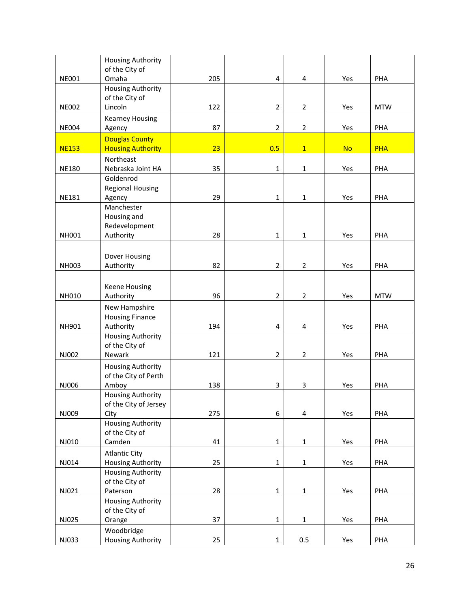|              | <b>Housing Authority</b>                          |     |                |                |           |            |
|--------------|---------------------------------------------------|-----|----------------|----------------|-----------|------------|
|              | of the City of                                    |     |                |                |           |            |
| <b>NE001</b> | Omaha                                             | 205 | 4              | 4              | Yes       | PHA        |
|              | <b>Housing Authority</b>                          |     |                |                |           |            |
| <b>NE002</b> | of the City of<br>Lincoln                         | 122 | $\overline{2}$ | $\overline{2}$ | Yes       | <b>MTW</b> |
|              |                                                   |     |                |                |           |            |
| <b>NE004</b> | <b>Kearney Housing</b>                            | 87  | $\overline{2}$ | $\overline{2}$ | Yes       | PHA        |
|              | Agency                                            |     |                |                |           |            |
| <b>NE153</b> | <b>Douglas County</b><br><b>Housing Authority</b> | 23  | 0.5            | $\mathbf{1}$   | <b>No</b> | <b>PHA</b> |
|              | Northeast                                         |     |                |                |           |            |
| <b>NE180</b> | Nebraska Joint HA                                 | 35  | $\mathbf{1}$   | $\mathbf{1}$   | Yes       | PHA        |
|              | Goldenrod                                         |     |                |                |           |            |
|              | <b>Regional Housing</b>                           |     |                |                |           |            |
| <b>NE181</b> | Agency                                            | 29  | $\mathbf{1}$   | $\mathbf{1}$   | Yes       | PHA        |
|              | Manchester                                        |     |                |                |           |            |
|              | Housing and                                       |     |                |                |           |            |
|              | Redevelopment                                     |     |                |                |           |            |
| <b>NH001</b> | Authority                                         | 28  | $\mathbf{1}$   | $\mathbf 1$    | Yes       | PHA        |
|              |                                                   |     |                |                |           |            |
|              | Dover Housing                                     |     |                |                |           |            |
| NH003        | Authority                                         | 82  | $\overline{2}$ | $\overline{2}$ | Yes       | PHA        |
|              |                                                   |     |                |                |           |            |
|              | <b>Keene Housing</b>                              |     |                |                |           |            |
| <b>NH010</b> | Authority                                         | 96  | $\overline{2}$ | $\overline{2}$ | Yes       | <b>MTW</b> |
|              | New Hampshire                                     |     |                |                |           |            |
|              | <b>Housing Finance</b>                            |     |                |                |           |            |
| NH901        | Authority                                         | 194 | 4              | 4              | Yes       | PHA        |
|              | <b>Housing Authority</b>                          |     |                |                |           |            |
|              | of the City of<br>Newark                          |     | $\overline{2}$ |                |           |            |
| NJ002        |                                                   | 121 |                | $\overline{2}$ | Yes       | PHA        |
|              | <b>Housing Authority</b>                          |     |                |                |           |            |
| NJ006        | of the City of Perth<br>Amboy                     | 138 | 3              | 3              | Yes       | PHA        |
|              | <b>Housing Authority</b>                          |     |                |                |           |            |
|              | of the City of Jersey                             |     |                |                |           |            |
| NJ009        | City                                              | 275 | 6              | 4              | Yes       | PHA        |
|              | <b>Housing Authority</b>                          |     |                |                |           |            |
|              | of the City of                                    |     |                |                |           |            |
| NJ010        | Camden                                            | 41  | $\mathbf 1$    | $\mathbf{1}$   | Yes       | PHA        |
|              | <b>Atlantic City</b>                              |     |                |                |           |            |
| NJ014        | <b>Housing Authority</b>                          | 25  | $\mathbf 1$    | $\mathbf{1}$   | Yes       | PHA        |
|              | <b>Housing Authority</b>                          |     |                |                |           |            |
|              | of the City of                                    |     |                |                |           |            |
| NJ021        | Paterson                                          | 28  | $\mathbf 1$    | $\mathbf 1$    | Yes       | PHA        |
|              | <b>Housing Authority</b>                          |     |                |                |           |            |
|              | of the City of                                    |     |                |                |           |            |
| NJ025        | Orange                                            | 37  | $\mathbf{1}$   | $\mathbf 1$    | Yes       | PHA        |
|              | Woodbridge                                        |     |                |                |           |            |
| NJ033        | <b>Housing Authority</b>                          | 25  | $\mathbf 1$    | 0.5            | Yes       | PHA        |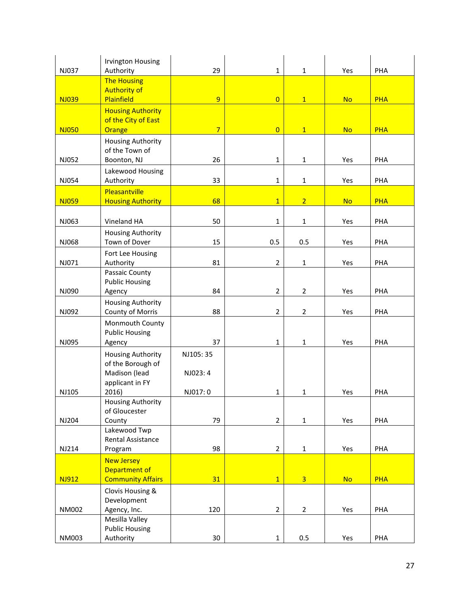| NJ037        | <b>Irvington Housing</b><br>Authority                     | 29             | $\mathbf{1}$   | $\mathbf{1}$   | Yes       | PHA        |
|--------------|-----------------------------------------------------------|----------------|----------------|----------------|-----------|------------|
|              | <b>The Housing</b><br><b>Authority of</b>                 |                |                |                |           |            |
| <b>NJ039</b> | Plainfield<br><b>Housing Authority</b>                    | 9              | $\overline{0}$ | $\mathbf{1}$   | <b>No</b> | <b>PHA</b> |
|              | of the City of East                                       |                |                |                |           |            |
| <b>NJ050</b> | Orange                                                    | $\overline{7}$ | $\overline{0}$ | $\mathbf{1}$   | <b>No</b> | <b>PHA</b> |
| NJ052        | <b>Housing Authority</b><br>of the Town of<br>Boonton, NJ | 26             | $\mathbf{1}$   | $\mathbf{1}$   | Yes       | PHA        |
|              | Lakewood Housing                                          |                |                |                |           |            |
| NJ054        | Authority                                                 | 33             | $\mathbf{1}$   | $\mathbf{1}$   | Yes       | PHA        |
|              | Pleasantville                                             |                |                |                |           |            |
| <b>NJ059</b> | <b>Housing Authority</b>                                  | 68             | $\overline{1}$ | $\overline{2}$ | <b>No</b> | <b>PHA</b> |
| NJ063        | Vineland HA                                               | 50             | $\mathbf{1}$   |                |           | PHA        |
|              | <b>Housing Authority</b>                                  |                |                | $\mathbf{1}$   | Yes       |            |
| NJ068        | Town of Dover                                             | 15             | 0.5            | 0.5            | Yes       | PHA        |
|              | Fort Lee Housing                                          |                |                |                |           |            |
| NJ071        | Authority                                                 | 81             | $\overline{2}$ | $\mathbf{1}$   | Yes       | PHA        |
|              | Passaic County                                            |                |                |                |           |            |
| NJ090        | <b>Public Housing</b><br>Agency                           | 84             | $\overline{2}$ | $\overline{2}$ | Yes       | PHA        |
|              | <b>Housing Authority</b>                                  |                |                |                |           |            |
| NJ092        | County of Morris                                          | 88             | $\overline{2}$ | $\overline{2}$ | Yes       | PHA        |
|              | Monmouth County<br><b>Public Housing</b>                  |                |                |                |           |            |
| NJ095        | Agency                                                    | 37             | $\mathbf{1}$   | $\mathbf{1}$   | Yes       | PHA        |
|              | <b>Housing Authority</b>                                  | NJ105:35       |                |                |           |            |
|              | of the Borough of                                         |                |                |                |           |            |
|              | Madison (lead                                             | NJ023: 4       |                |                |           |            |
| NJ105        | applicant in FY<br>2016)                                  | NJ017:0        | $\mathbf{1}$   | $\mathbf{1}$   | Yes       | PHA        |
|              | <b>Housing Authority</b>                                  |                |                |                |           |            |
|              | of Gloucester                                             |                |                |                |           |            |
| NJ204        | County<br>Lakewood Twp                                    | 79             | $\overline{2}$ | $\mathbf{1}$   | Yes       | PHA        |
|              | Rental Assistance                                         |                |                |                |           |            |
| NJ214        | Program                                                   | 98             | $\overline{2}$ | $\mathbf{1}$   | Yes       | PHA        |
|              | <b>New Jersey</b>                                         |                |                |                |           |            |
|              | Department of                                             |                |                |                |           |            |
| <b>NJ912</b> | <b>Community Affairs</b>                                  | 31             | $\overline{1}$ | $\overline{3}$ | <b>No</b> | <b>PHA</b> |
|              | Clovis Housing &<br>Development                           |                |                |                |           |            |
| NM002        | Agency, Inc.                                              | 120            | $\overline{2}$ | $\overline{2}$ | Yes       | PHA        |
|              | Mesilla Valley                                            |                |                |                |           |            |
| NM003        | <b>Public Housing</b>                                     |                | $\mathbf 1$    |                |           | PHA        |
|              | Authority                                                 | 30             |                | 0.5            | Yes       |            |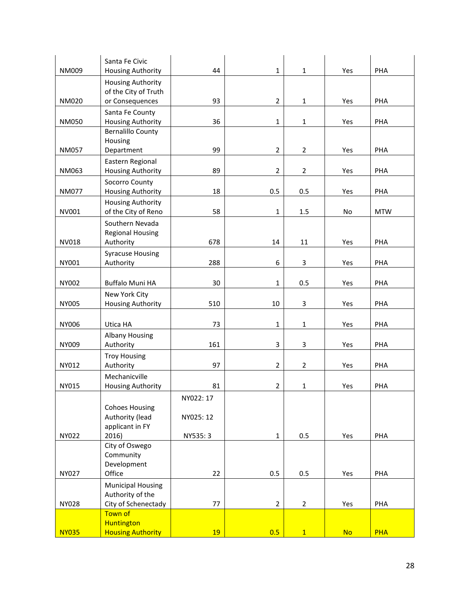|              | Santa Fe Civic                                       | 44        |                | $\mathbf{1}$   |           | PHA        |
|--------------|------------------------------------------------------|-----------|----------------|----------------|-----------|------------|
| NM009        | <b>Housing Authority</b><br><b>Housing Authority</b> |           | $\mathbf{1}$   |                | Yes       |            |
|              | of the City of Truth                                 |           |                |                |           |            |
| <b>NM020</b> | or Consequences                                      | 93        | $\overline{2}$ | $\mathbf{1}$   | Yes       | PHA        |
| <b>NM050</b> | Santa Fe County<br><b>Housing Authority</b>          | 36        | $\mathbf{1}$   | $\mathbf{1}$   | Yes       | PHA        |
|              | <b>Bernalillo County</b>                             |           |                |                |           |            |
|              | Housing                                              |           |                |                |           |            |
| <b>NM057</b> | Department<br>Eastern Regional                       | 99        | $\overline{2}$ | $\overline{2}$ | Yes       | PHA        |
| NM063        | <b>Housing Authority</b>                             | 89        | $\mathbf 2$    | $\overline{2}$ | Yes       | PHA        |
| <b>NM077</b> | Socorro County<br>Housing Authority                  | 18        | 0.5            | 0.5            | Yes       | PHA        |
| NV001        | <b>Housing Authority</b><br>of the City of Reno      | 58        | $\mathbf{1}$   | 1.5            | No        | <b>MTW</b> |
|              | Southern Nevada                                      |           |                |                |           |            |
|              | <b>Regional Housing</b>                              |           |                |                |           |            |
| <b>NV018</b> | Authority                                            | 678       | 14             | 11             | Yes       | PHA        |
| NY001        | <b>Syracuse Housing</b><br>Authority                 | 288       | 6              | 3              | Yes       | PHA        |
| NY002        | <b>Buffalo Muni HA</b>                               | 30        | $\mathbf{1}$   | 0.5            | Yes       | PHA        |
| <b>NY005</b> | New York City<br><b>Housing Authority</b>            | 510       | 10             | 3              | Yes       | PHA        |
| NY006        | Utica HA                                             | 73        | $\mathbf{1}$   | $\mathbf{1}$   | Yes       | PHA        |
|              | <b>Albany Housing</b>                                |           |                |                |           |            |
| NY009        | Authority                                            | 161       | 3              | 3              | Yes       | PHA        |
| NY012        | <b>Troy Housing</b><br>Authority                     | 97        | $\overline{2}$ | $\overline{2}$ | Yes       | PHA        |
|              | Mechanicville                                        |           |                |                |           |            |
| NY015        | <b>Housing Authority</b>                             | 81        | $\overline{2}$ | $\mathbf{1}$   | Yes       | PHA        |
|              | <b>Cohoes Housing</b>                                | NY022: 17 |                |                |           |            |
|              | Authority (lead                                      | NY025: 12 |                |                |           |            |
| <b>NY022</b> | applicant in FY<br>2016)                             | NY535:3   |                | 0.5            |           | PHA        |
|              | City of Oswego                                       |           | $\mathbf 1$    |                | Yes       |            |
|              | Community                                            |           |                |                |           |            |
|              | Development                                          |           |                |                |           |            |
| <b>NY027</b> | Office<br><b>Municipal Housing</b>                   | 22        | 0.5            | 0.5            | Yes       | PHA        |
|              | Authority of the                                     |           |                |                |           |            |
| <b>NY028</b> | City of Schenectady                                  | 77        | $\overline{2}$ | $\overline{2}$ | Yes       | PHA        |
|              | <b>Town of</b><br><b>Huntington</b>                  |           |                |                |           |            |
| <b>NY035</b> | <b>Housing Authority</b>                             | 19        | 0.5            | 1              | <b>No</b> | <b>PHA</b> |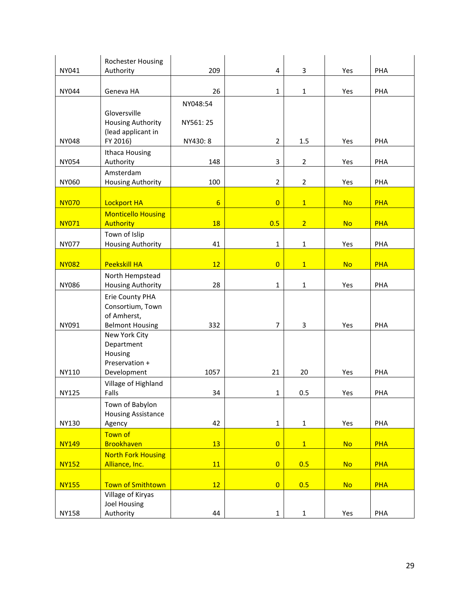|              | Rochester Housing                                                            |                |                         |                |           |            |
|--------------|------------------------------------------------------------------------------|----------------|-------------------------|----------------|-----------|------------|
| NY041        | Authority                                                                    | 209            | $\overline{\mathbf{4}}$ | 3              | Yes       | PHA        |
| NY044        | Geneva HA                                                                    | 26             | $\mathbf{1}$            | $\mathbf{1}$   | Yes       | PHA        |
|              |                                                                              | NY048:54       |                         |                |           |            |
|              | Gloversville<br><b>Housing Authority</b><br>(lead applicant in               | NY561: 25      |                         |                |           |            |
| <b>NY048</b> | FY 2016)                                                                     | NY430: 8       | $\overline{2}$          | 1.5            | Yes       | PHA        |
| <b>NY054</b> | Ithaca Housing<br>Authority                                                  | 148            | 3                       | $\overline{2}$ | Yes       | PHA        |
| NY060        | Amsterdam<br>Housing Authority                                               | 100            | $\overline{2}$          | $\overline{2}$ | Yes       | PHA        |
| <b>NY070</b> | <b>Lockport HA</b>                                                           | $6\overline{}$ | $\overline{0}$          | $\overline{1}$ | <b>No</b> | <b>PHA</b> |
| <b>NY071</b> | <b>Monticello Housing</b><br><b>Authority</b>                                | 18             | 0.5                     | 2 <sup>1</sup> | <b>No</b> | <b>PHA</b> |
| <b>NY077</b> | Town of Islip<br><b>Housing Authority</b>                                    | 41             | $\mathbf{1}$            | $\mathbf{1}$   | Yes       | PHA        |
| <b>NY082</b> | <b>Peekskill HA</b>                                                          | 12             | $\overline{0}$          | $\mathbf{1}$   | <b>No</b> | <b>PHA</b> |
| <b>NY086</b> | North Hempstead<br>Housing Authority                                         | 28             | $\mathbf{1}$            | $\mathbf{1}$   | Yes       | PHA        |
| NY091        | Erie County PHA<br>Consortium, Town<br>of Amherst,<br><b>Belmont Housing</b> | 332            | 7                       | 3              | Yes       | PHA        |
|              | New York City<br>Department<br>Housing<br>Preservation +                     |                |                         |                |           |            |
| NY110        | Development                                                                  | 1057           | 21                      | 20             | Yes       | PHA        |
| <b>NY125</b> | Village of Highland<br>Falls                                                 | 34             | $\mathbf{1}$            | 0.5            | Yes       | PHA        |
| <b>NY130</b> | Town of Babylon<br><b>Housing Assistance</b><br>Agency                       | 42             | $\mathbf{1}$            | $\mathbf 1$    | Yes       | PHA        |
|              | Town of                                                                      |                |                         |                |           |            |
| <b>NY149</b> | <b>Brookhaven</b><br><b>North Fork Housing</b>                               | 13             | $\overline{0}$          | $\mathbf{1}$   | <b>No</b> | <b>PHA</b> |
| <b>NY152</b> | Alliance, Inc.                                                               | 11             | $\overline{0}$          | 0.5            | <b>No</b> | <b>PHA</b> |
|              |                                                                              |                |                         |                |           |            |
| <b>NY155</b> | <b>Town of Smithtown</b><br>Village of Kiryas<br>Joel Housing                | 12             | $\overline{0}$          | 0.5            | <b>No</b> | <b>PHA</b> |
| <b>NY158</b> | Authority                                                                    | 44             | $\mathbf 1$             | $\mathbf 1$    | Yes       | PHA        |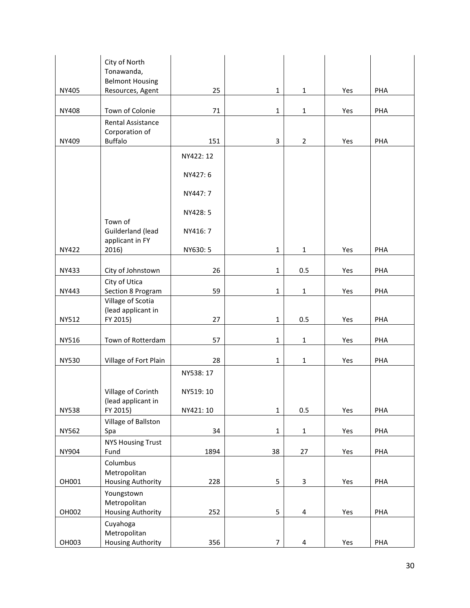|              | City of North<br>Tonawanda,              |           |                |                         |     |     |
|--------------|------------------------------------------|-----------|----------------|-------------------------|-----|-----|
| NY405        | <b>Belmont Housing</b>                   | 25        | $\mathbf{1}$   | $\mathbf{1}$            | Yes | PHA |
|              | Resources, Agent                         |           |                |                         |     |     |
| <b>NY408</b> | Town of Colonie                          | 71        | $\mathbf{1}$   | $\mathbf{1}$            | Yes | PHA |
|              | Rental Assistance<br>Corporation of      |           |                |                         |     |     |
| NY409        | <b>Buffalo</b>                           | 151       | 3              | $\overline{2}$          | Yes | PHA |
|              |                                          | NY422: 12 |                |                         |     |     |
|              |                                          | NY427: 6  |                |                         |     |     |
|              |                                          | NY447: 7  |                |                         |     |     |
|              | Town of                                  | NY428: 5  |                |                         |     |     |
|              | Guilderland (lead<br>applicant in FY     | NY416: 7  |                |                         |     |     |
| <b>NY422</b> | 2016)                                    | NY630: 5  | $\mathbf{1}$   | $\mathbf{1}$            | Yes | PHA |
| NY433        | City of Johnstown                        | 26        | $\mathbf{1}$   | 0.5                     | Yes | PHA |
| NY443        | City of Utica<br>Section 8 Program       | 59        | $\mathbf{1}$   | $\mathbf{1}$            | Yes | PHA |
|              | Village of Scotia                        |           |                |                         |     |     |
| NY512        | (lead applicant in<br>FY 2015)           | 27        | $\mathbf 1$    | 0.5                     | Yes | PHA |
| NY516        | Town of Rotterdam                        | 57        | $\mathbf{1}$   | $\mathbf{1}$            | Yes | PHA |
| <b>NY530</b> | Village of Fort Plain                    | 28        | $\mathbf{1}$   | $\mathbf{1}$            | Yes | PHA |
|              |                                          | NY538: 17 |                |                         |     |     |
|              | Village of Corinth<br>(lead applicant in | NY519: 10 |                |                         |     |     |
| <b>NY538</b> | FY 2015)                                 | NY421: 10 | $\mathbf 1$    | 0.5                     | Yes | PHA |
| NY562        | Village of Ballston                      | 34        | $\mathbf 1$    | $\mathbf 1$             | Yes | PHA |
|              | Spa<br><b>NYS Housing Trust</b>          |           |                |                         |     |     |
| NY904        | Fund                                     | 1894      | 38             | 27                      | Yes | PHA |
|              | Columbus<br>Metropolitan                 |           |                |                         |     |     |
| OH001        | <b>Housing Authority</b>                 | 228       | 5              | $\overline{\mathbf{3}}$ | Yes | PHA |
|              | Youngstown<br>Metropolitan               |           |                |                         |     |     |
| OH002        | <b>Housing Authority</b>                 | 252       | 5              | 4                       | Yes | PHA |
|              | Cuyahoga<br>Metropolitan                 |           |                |                         |     |     |
| OH003        | <b>Housing Authority</b>                 | 356       | $\overline{7}$ | $\overline{\mathbf{4}}$ | Yes | PHA |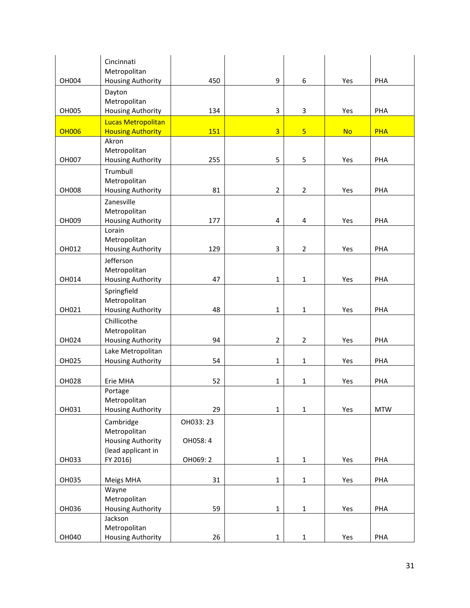| OH004        | Cincinnati<br>Metropolitan<br><b>Housing Authority</b>         | 450       | 9                       | 6              | Yes       | PHA        |
|--------------|----------------------------------------------------------------|-----------|-------------------------|----------------|-----------|------------|
|              | Dayton<br>Metropolitan                                         |           |                         |                |           |            |
| OH005        | <b>Housing Authority</b>                                       | 134       | 3                       | 3              | Yes       | PHA        |
| <b>OH006</b> | <b>Lucas Metropolitan</b><br><b>Housing Authority</b>          | 151       | $\overline{3}$          | $\overline{5}$ | <b>No</b> | <b>PHA</b> |
| OH007        | Akron<br>Metropolitan<br><b>Housing Authority</b>              | 255       | 5                       | 5              | Yes       | PHA        |
|              | Trumbull<br>Metropolitan                                       |           |                         |                |           |            |
| <b>OH008</b> | <b>Housing Authority</b><br>Zanesville                         | 81        | $\overline{2}$          | $\overline{2}$ | Yes       | PHA        |
| OH009        | Metropolitan<br><b>Housing Authority</b>                       | 177       | $\overline{\mathbf{4}}$ | 4              | Yes       | PHA        |
| OH012        | Lorain<br>Metropolitan<br>Housing Authority                    | 129       | 3                       | $\overline{2}$ | Yes       | PHA        |
|              | Jefferson                                                      |           |                         |                |           |            |
| OH014        | Metropolitan<br><b>Housing Authority</b>                       | 47        | $\mathbf{1}$            | $\mathbf{1}$   | Yes       | PHA        |
| OH021        | Springfield<br>Metropolitan<br><b>Housing Authority</b>        | 48        | $\mathbf{1}$            | $\mathbf{1}$   | Yes       | PHA        |
|              | Chillicothe                                                    |           |                         |                |           |            |
| OH024        | Metropolitan<br>Housing Authority                              | 94        | $\overline{2}$          | $\overline{2}$ | Yes       | PHA        |
| OH025        | Lake Metropolitan<br><b>Housing Authority</b>                  | 54        | $\mathbf{1}$            | $\mathbf{1}$   | Yes       | PHA        |
| OH028        | Erie MHA                                                       | 52        | $\mathbf{1}$            | $\mathbf{1}$   | Yes       | PHA        |
|              | Portage<br>Metropolitan                                        |           |                         |                |           |            |
| OH031        | <b>Housing Authority</b>                                       | 29        | $\mathbf{1}$            | $\mathbf{1}$   | Yes       | <b>MTW</b> |
|              | Cambridge                                                      | OH033: 23 |                         |                |           |            |
|              | Metropolitan<br><b>Housing Authority</b><br>(lead applicant in | OH058: 4  |                         |                |           |            |
| OH033        | FY 2016)                                                       | OH069: 2  | $\mathbf{1}$            | $\mathbf{1}$   | Yes       | PHA        |
| OH035        | Meigs MHA                                                      | 31        | $\mathbf 1$             | $\mathbf{1}$   | Yes       | PHA        |
|              | Wayne<br>Metropolitan                                          |           |                         |                |           |            |
| OH036        | <b>Housing Authority</b>                                       | 59        | $\mathbf 1$             | $\mathbf{1}$   | Yes       | PHA        |
|              | Jackson<br>Metropolitan                                        |           |                         |                |           |            |
| OH040        | <b>Housing Authority</b>                                       | 26        | $\mathbf 1$             | $\mathbf{1}$   | Yes       | PHA        |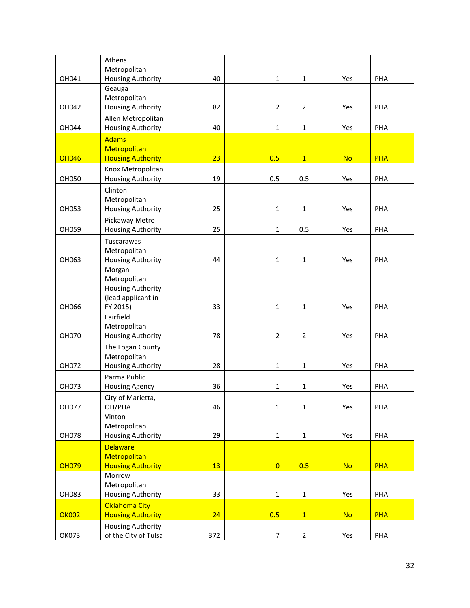|              | Athens                                           |     |                |                |           |            |
|--------------|--------------------------------------------------|-----|----------------|----------------|-----------|------------|
|              | Metropolitan                                     |     |                |                |           |            |
| OH041        | Housing Authority<br>Geauga                      | 40  | $\mathbf{1}$   | $\mathbf{1}$   | Yes       | PHA        |
|              | Metropolitan                                     |     |                |                |           |            |
| OH042        | Housing Authority                                | 82  | $\overline{2}$ | $\overline{2}$ | Yes       | PHA        |
|              | Allen Metropolitan                               |     |                |                |           |            |
| OH044        | <b>Housing Authority</b>                         | 40  | $\mathbf{1}$   | $\mathbf{1}$   | Yes       | PHA        |
|              | <b>Adams</b>                                     |     |                |                |           |            |
|              | Metropolitan                                     |     |                |                |           |            |
| <b>OH046</b> | <b>Housing Authority</b>                         | 23  | 0.5            | $\mathbf{1}$   | <b>No</b> | <b>PHA</b> |
| OH050        | Knox Metropolitan<br>Housing Authority           | 19  | 0.5            | 0.5            | Yes       | PHA        |
|              | Clinton                                          |     |                |                |           |            |
|              | Metropolitan                                     |     |                |                |           |            |
| OH053        | Housing Authority                                | 25  | $\mathbf{1}$   | 1              | Yes       | PHA        |
|              | Pickaway Metro                                   |     |                |                |           |            |
| OH059        | <b>Housing Authority</b>                         | 25  | $\mathbf{1}$   | 0.5            | Yes       | PHA        |
|              | Tuscarawas                                       |     |                |                |           |            |
|              | Metropolitan                                     |     |                |                |           |            |
| OH063        | Housing Authority                                | 44  | $\mathbf 1$    | $\mathbf 1$    | Yes       | PHA        |
|              | Morgan<br>Metropolitan                           |     |                |                |           |            |
|              | <b>Housing Authority</b>                         |     |                |                |           |            |
|              | (lead applicant in                               |     |                |                |           |            |
| OH066        | FY 2015)                                         | 33  | $\mathbf{1}$   | $\mathbf{1}$   | Yes       | PHA        |
|              | Fairfield                                        |     |                |                |           |            |
|              | Metropolitan                                     | 78  | $\overline{2}$ | $\mathbf 2$    |           |            |
| OH070        | Housing Authority                                |     |                |                | Yes       | PHA        |
|              | The Logan County<br>Metropolitan                 |     |                |                |           |            |
| OH072        | <b>Housing Authority</b>                         | 28  | $\mathbf{1}$   | 1              | Yes       | PHA        |
|              | Parma Public                                     |     |                |                |           |            |
| OH073        | <b>Housing Agency</b>                            | 36  | $\mathbf{1}$   | 1              | Yes       | PHA        |
|              | City of Marietta,                                |     |                |                |           |            |
| OH077        | OH/PHA                                           | 46  | $\mathbf 1$    | $\mathbf{1}$   | Yes       | PHA        |
|              | Vinton                                           |     |                |                |           |            |
| OH078        | Metropolitan<br><b>Housing Authority</b>         | 29  | $\mathbf 1$    | $\mathbf 1$    | Yes       | PHA        |
|              | <b>Delaware</b>                                  |     |                |                |           |            |
|              | Metropolitan                                     |     |                |                |           |            |
| <b>OH079</b> | <b>Housing Authority</b>                         | 13  | $\overline{0}$ | 0.5            | <b>No</b> | <b>PHA</b> |
|              | Morrow                                           |     |                |                |           |            |
|              | Metropolitan                                     |     |                |                |           |            |
| OH083        | <b>Housing Authority</b>                         | 33  | $\mathbf 1$    | $\mathbf 1$    | Yes       | PHA        |
|              | <b>Oklahoma City</b>                             |     |                |                |           |            |
| <b>OK002</b> | <b>Housing Authority</b>                         | 24  | 0.5            | $\overline{1}$ | <b>No</b> | <b>PHA</b> |
| OK073        | <b>Housing Authority</b><br>of the City of Tulsa | 372 | $\overline{7}$ | $\overline{2}$ | Yes       | PHA        |
|              |                                                  |     |                |                |           |            |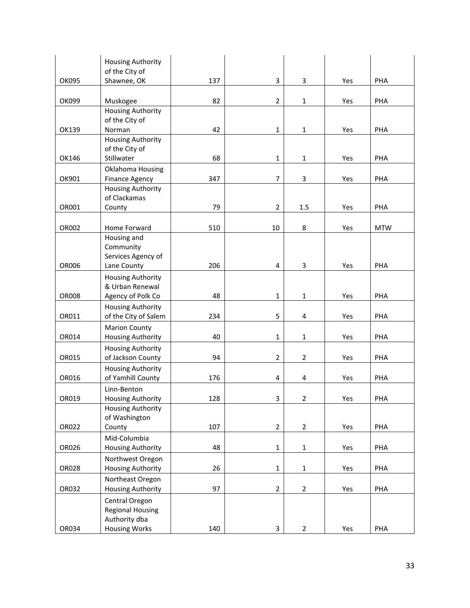|              | <b>Housing Authority</b>                      |     |                |                |     |            |
|--------------|-----------------------------------------------|-----|----------------|----------------|-----|------------|
| OK095        | of the City of<br>Shawnee, OK                 | 137 | 3              | 3              | Yes | PHA        |
|              |                                               |     |                |                |     |            |
| OK099        | Muskogee<br><b>Housing Authority</b>          | 82  | $\overline{2}$ | $\mathbf{1}$   | Yes | PHA        |
|              | of the City of                                |     |                |                |     |            |
| OK139        | Norman<br><b>Housing Authority</b>            | 42  | $\mathbf{1}$   | $\mathbf{1}$   | Yes | PHA        |
|              | of the City of                                |     |                |                |     |            |
| OK146        | Stillwater                                    | 68  | $\mathbf{1}$   | $\mathbf{1}$   | Yes | PHA        |
| OK901        | Oklahoma Housing<br><b>Finance Agency</b>     | 347 | $\overline{7}$ | 3              | Yes | PHA        |
|              | <b>Housing Authority</b>                      |     |                |                |     |            |
|              | of Clackamas                                  |     |                |                |     |            |
| OR001        | County                                        | 79  | $\overline{2}$ | 1.5            | Yes | PHA        |
| OR002        | Home Forward                                  | 510 | 10             | 8              | Yes | <b>MTW</b> |
|              | Housing and                                   |     |                |                |     |            |
|              | Community<br>Services Agency of               |     |                |                |     |            |
| <b>OR006</b> | Lane County                                   | 206 | 4              | 3              | Yes | PHA        |
|              | <b>Housing Authority</b>                      |     |                |                |     |            |
|              | & Urban Renewal                               |     |                |                |     |            |
| <b>OR008</b> | Agency of Polk Co<br><b>Housing Authority</b> | 48  | $\mathbf{1}$   | $\mathbf{1}$   | Yes | PHA        |
| OR011        | of the City of Salem                          | 234 | 5              | 4              | Yes | PHA        |
|              | <b>Marion County</b>                          |     |                |                |     |            |
| OR014        | Housing Authority<br><b>Housing Authority</b> | 40  | $\mathbf{1}$   | $\mathbf 1$    | Yes | PHA        |
| OR015        | of Jackson County                             | 94  | $\overline{2}$ | $\overline{2}$ | Yes | PHA        |
|              | <b>Housing Authority</b>                      |     |                |                |     |            |
| OR016        | of Yamhill County                             | 176 | 4              | 4              | Yes | PHA        |
| OR019        | Linn-Benton                                   | 128 | 3              | $\mathcal{P}$  | Yes | PHA        |
|              | Housing Authority<br><b>Housing Authority</b> |     |                |                |     |            |
|              | of Washington                                 |     |                |                |     |            |
| OR022        | County                                        | 107 | $\overline{2}$ | $\overline{2}$ | Yes | PHA        |
| OR026        | Mid-Columbia<br><b>Housing Authority</b>      | 48  | $\mathbf 1$    | $\mathbf 1$    | Yes | PHA        |
|              | Northwest Oregon                              |     |                |                |     |            |
| <b>OR028</b> | <b>Housing Authority</b>                      | 26  | $\mathbf 1$    | $\mathbf 1$    | Yes | PHA        |
|              | Northeast Oregon                              |     |                |                |     |            |
| OR032        | <b>Housing Authority</b>                      | 97  | $\overline{2}$ | $\overline{2}$ | Yes | PHA        |
|              | Central Oregon<br><b>Regional Housing</b>     |     |                |                |     |            |
|              | Authority dba                                 |     |                |                |     |            |
| OR034        | <b>Housing Works</b>                          | 140 | 3              | $\overline{2}$ | Yes | PHA        |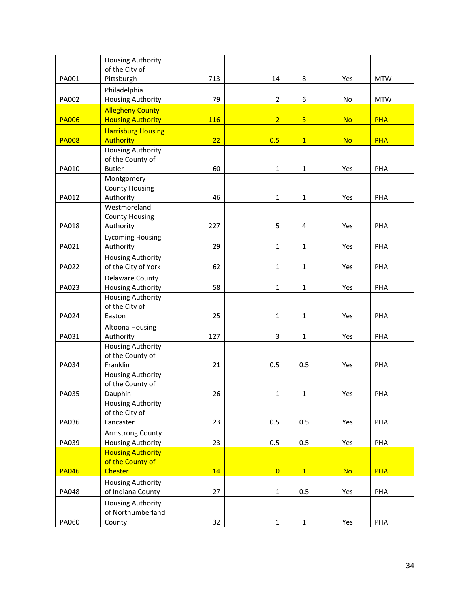|              | <b>Housing Authority</b><br>of the City of    |            |                |                |           |            |
|--------------|-----------------------------------------------|------------|----------------|----------------|-----------|------------|
| PA001        | Pittsburgh                                    | 713        | 14             | 8              | Yes       | <b>MTW</b> |
|              | Philadelphia                                  |            |                |                |           |            |
| PA002        | <b>Housing Authority</b>                      | 79         | $\overline{2}$ | 6              | No        | <b>MTW</b> |
|              | <b>Allegheny County</b>                       |            |                |                |           |            |
| <b>PA006</b> | <b>Housing Authority</b>                      | <b>116</b> | $\overline{2}$ | $\overline{3}$ | <b>No</b> | <b>PHA</b> |
| <b>PA008</b> | <b>Harrisburg Housing</b><br><b>Authority</b> | 22         | 0.5            | $\mathbf{1}$   | <b>No</b> | <b>PHA</b> |
|              | <b>Housing Authority</b>                      |            |                |                |           |            |
|              | of the County of                              |            |                |                |           |            |
| PA010        | <b>Butler</b>                                 | 60         | $\mathbf{1}$   | $\mathbf{1}$   | Yes       | PHA        |
|              | Montgomery                                    |            |                |                |           |            |
| PA012        | <b>County Housing</b><br>Authority            | 46         | $\mathbf 1$    | $\mathbf 1$    | Yes       | PHA        |
|              | Westmoreland                                  |            |                |                |           |            |
|              | <b>County Housing</b>                         |            |                |                |           |            |
| PA018        | Authority                                     | 227        | 5              | 4              | Yes       | PHA        |
|              | <b>Lycoming Housing</b>                       |            |                |                |           |            |
| PA021        | Authority                                     | 29         | $\mathbf{1}$   | $\mathbf{1}$   | Yes       | PHA        |
|              | <b>Housing Authority</b>                      |            |                |                |           |            |
| PA022        | of the City of York                           | 62         | $\mathbf{1}$   | $\mathbf{1}$   | Yes       | PHA        |
|              | <b>Delaware County</b>                        |            |                |                |           |            |
| PA023        | Housing Authority                             | 58         | $\mathbf 1$    | $\mathbf 1$    | Yes       | PHA        |
|              | <b>Housing Authority</b>                      |            |                |                |           |            |
| PA024        | of the City of<br>Easton                      | 25         | $\mathbf{1}$   | $\mathbf{1}$   | Yes       | PHA        |
|              |                                               |            |                |                |           |            |
| PA031        | Altoona Housing<br>Authority                  | 127        | $\mathsf 3$    | $\mathbf{1}$   | Yes       | PHA        |
|              | <b>Housing Authority</b>                      |            |                |                |           |            |
|              | of the County of                              |            |                |                |           |            |
| PA034        | Franklin                                      | 21         | 0.5            | 0.5            | Yes       | PHA        |
|              | <b>Housing Authority</b>                      |            |                |                |           |            |
|              | of the County of                              |            |                |                |           |            |
| PA035        | Dauphin                                       | 26         | $\mathbf 1$    | $\mathbf 1$    | Yes       | PHA        |
|              | <b>Housing Authority</b><br>of the City of    |            |                |                |           |            |
| PA036        | Lancaster                                     | 23         | 0.5            | 0.5            | Yes       | PHA        |
|              | <b>Armstrong County</b>                       |            |                |                |           |            |
| PA039        | Housing Authority                             | 23         | 0.5            | 0.5            | Yes       | PHA        |
|              | <b>Housing Authority</b>                      |            |                |                |           |            |
|              | of the County of                              |            |                |                |           |            |
| <b>PA046</b> | <b>Chester</b>                                | 14         | $\overline{0}$ | $\mathbf{1}$   | <b>No</b> | <b>PHA</b> |
|              | <b>Housing Authority</b>                      |            |                |                |           |            |
| PA048        | of Indiana County                             | 27         | $\mathbf 1$    | 0.5            | Yes       | PHA        |
|              | <b>Housing Authority</b>                      |            |                |                |           |            |
|              | of Northumberland                             |            |                |                |           |            |
| PA060        | County                                        | 32         | $\mathbf{1}$   | $\mathbf{1}$   | Yes       | PHA        |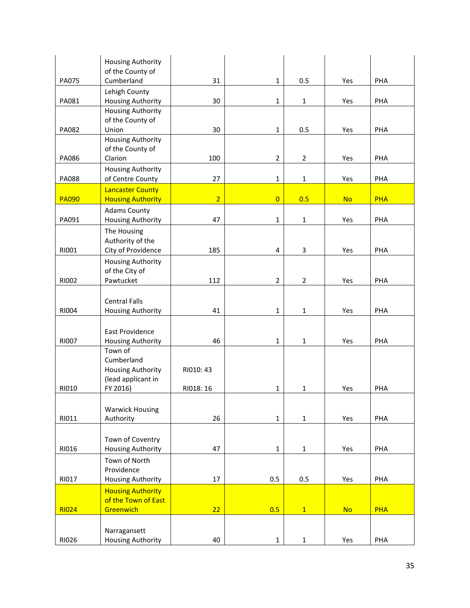|              | <b>Housing Authority</b><br>of the County of        |                |                |                |           |            |
|--------------|-----------------------------------------------------|----------------|----------------|----------------|-----------|------------|
| <b>PA075</b> | Cumberland                                          | 31             | $\mathbf{1}$   | 0.5            | Yes       | PHA        |
|              | Lehigh County                                       |                |                |                |           |            |
| PA081        | Housing Authority<br><b>Housing Authority</b>       | 30             | $\mathbf{1}$   | $\mathbf{1}$   | Yes       | PHA        |
|              | of the County of                                    |                |                |                |           |            |
| PA082        | Union                                               | 30             | $\mathbf 1$    | 0.5            | Yes       | PHA        |
|              | <b>Housing Authority</b><br>of the County of        |                |                |                |           |            |
| PA086        | Clarion                                             | 100            | $\overline{2}$ | $\overline{2}$ | Yes       | PHA        |
|              | <b>Housing Authority</b>                            |                |                |                |           |            |
| <b>PA088</b> | of Centre County                                    | 27             | $\mathbf{1}$   | $\mathbf 1$    | Yes       | PHA        |
| <b>PA090</b> | <b>Lancaster County</b><br><b>Housing Authority</b> | $\overline{2}$ | $\overline{0}$ | 0.5            | <b>No</b> | <b>PHA</b> |
|              | <b>Adams County</b>                                 |                |                |                |           |            |
| PA091        | Housing Authority                                   | 47             | $\mathbf{1}$   | $\mathbf{1}$   | Yes       | PHA        |
|              | The Housing<br>Authority of the                     |                |                |                |           |            |
| RI001        | City of Providence                                  | 185            | 4              | 3              | Yes       | PHA        |
|              | <b>Housing Authority</b>                            |                |                |                |           |            |
|              | of the City of                                      |                |                |                |           |            |
| RI002        | Pawtucket                                           | 112            | $\overline{2}$ | $\overline{2}$ | Yes       | PHA        |
|              | <b>Central Falls</b>                                |                |                |                |           |            |
| RI004        | Housing Authority                                   | 41             | $\mathbf 1$    | 1              | Yes       | PHA        |
|              |                                                     |                |                |                |           |            |
| <b>RI007</b> | East Providence<br>Housing Authority                | 46             | $\mathbf{1}$   | $\mathbf{1}$   | Yes       | PHA        |
|              | Town of                                             |                |                |                |           |            |
|              | Cumberland                                          |                |                |                |           |            |
|              | <b>Housing Authority</b><br>(lead applicant in      | RI010: 43      |                |                |           |            |
| RI010        | FY 2016)                                            | RI018: 16      | $\mathbf{1}$   | $\mathbf{1}$   | Yes       | PHA        |
|              |                                                     |                |                |                |           |            |
| RI011        | <b>Warwick Housing</b><br>Authority                 | 26             | $\mathbf 1$    | $\mathbf 1$    | Yes       | PHA        |
|              |                                                     |                |                |                |           |            |
|              | Town of Coventry                                    |                |                |                |           |            |
| RI016        | Housing Authority                                   | 47             | $\mathbf 1$    | $\mathbf{1}$   | Yes       | PHA        |
|              | Town of North<br>Providence                         |                |                |                |           |            |
| RI017        | <b>Housing Authority</b>                            | 17             | 0.5            | 0.5            | Yes       | PHA        |
|              | <b>Housing Authority</b>                            |                |                |                |           |            |
| <b>RI024</b> | of the Town of East<br>Greenwich                    | 22             | 0.5            | $\overline{1}$ | <b>No</b> | <b>PHA</b> |
|              |                                                     |                |                |                |           |            |
|              | Narragansett                                        |                |                |                |           |            |
| RI026        | <b>Housing Authority</b>                            | 40             | $\mathbf 1$    | $\mathbf 1$    | Yes       | PHA        |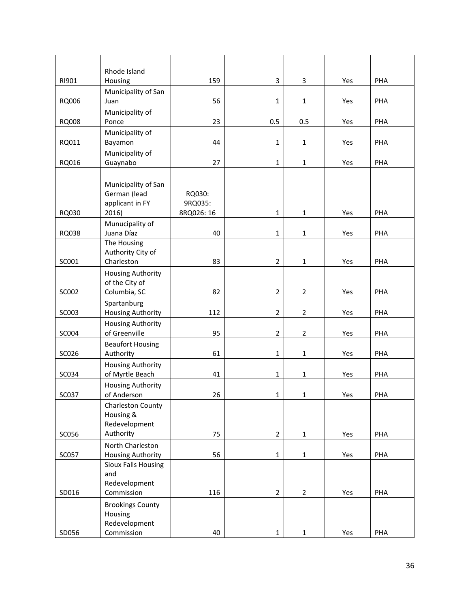|       | Rhode Island                                |            |                |                |     |     |
|-------|---------------------------------------------|------------|----------------|----------------|-----|-----|
| RI901 | Housing                                     | 159        | 3              | 3              | Yes | PHA |
| RQ006 | Municipality of San<br>Juan                 | 56         | $\mathbf{1}$   | $\mathbf{1}$   | Yes | PHA |
|       | Municipality of                             |            |                |                |     |     |
| RQ008 | Ponce                                       | 23         | 0.5            | 0.5            | Yes | PHA |
|       | Municipality of                             |            |                |                |     |     |
| RQ011 | Bayamon                                     | 44         | $\mathbf 1$    | $\mathbf 1$    | Yes | PHA |
| RQ016 | Municipality of<br>Guaynabo                 | 27         | $\mathbf{1}$   | $\mathbf{1}$   | Yes | PHA |
|       |                                             |            |                |                |     |     |
|       | Municipality of San                         |            |                |                |     |     |
|       | German (lead                                | RQ030:     |                |                |     |     |
|       | applicant in FY                             | 9RQ035:    |                |                |     |     |
| RQ030 | 2016)                                       | 8RQ026: 16 | $\mathbf{1}$   | $\mathbf{1}$   | Yes | PHA |
| RQ038 | Munucipality of<br>Juana Díaz               | 40         | $\mathbf 1$    | $\mathbf 1$    | Yes | PHA |
|       | The Housing                                 |            |                |                |     |     |
|       | Authority City of                           |            |                |                |     |     |
| SC001 | Charleston                                  | 83         | $\overline{2}$ | $\mathbf{1}$   | Yes | PHA |
|       | <b>Housing Authority</b>                    |            |                |                |     |     |
|       | of the City of                              | 82         | $\overline{2}$ |                |     |     |
| SC002 | Columbia, SC<br>Spartanburg                 |            |                | $\overline{2}$ | Yes | PHA |
| SC003 | <b>Housing Authority</b>                    | 112        | $\overline{2}$ | $\overline{2}$ | Yes | PHA |
|       | <b>Housing Authority</b>                    |            |                |                |     |     |
| SC004 | of Greenville                               | 95         | $\overline{2}$ | $\overline{2}$ | Yes | PHA |
|       | <b>Beaufort Housing</b>                     |            |                |                |     |     |
| SC026 | Authority                                   | 61         | $\mathbf{1}$   | $\mathbf 1$    | Yes | PHA |
| SC034 | <b>Housing Authority</b><br>of Myrtle Beach | 41         | $\mathbf{1}$   | $\mathbf{1}$   | Yes | PHA |
|       | <b>Housing Authority</b>                    |            |                |                |     |     |
| SC037 | of Anderson                                 | 26         | $\mathbf 1$    | $\mathbf{1}$   | Yes | PHA |
|       | Charleston County                           |            |                |                |     |     |
|       | Housing &<br>Redevelopment                  |            |                |                |     |     |
| SC056 | Authority                                   | 75         | $\overline{2}$ | $\mathbf{1}$   | Yes | PHA |
|       | North Charleston                            |            |                |                |     |     |
| SC057 | <b>Housing Authority</b>                    | 56         | $\mathbf{1}$   | $\mathbf 1$    | Yes | PHA |
|       | <b>Sioux Falls Housing</b>                  |            |                |                |     |     |
|       | and                                         |            |                |                |     |     |
| SD016 | Redevelopment<br>Commission                 | 116        | $\overline{2}$ | $\overline{2}$ | Yes | PHA |
|       | <b>Brookings County</b>                     |            |                |                |     |     |
|       | Housing                                     |            |                |                |     |     |
|       | Redevelopment                               |            |                |                |     |     |
| SD056 | Commission                                  | 40         | $\mathbf{1}$   | $\mathbf{1}$   | Yes | PHA |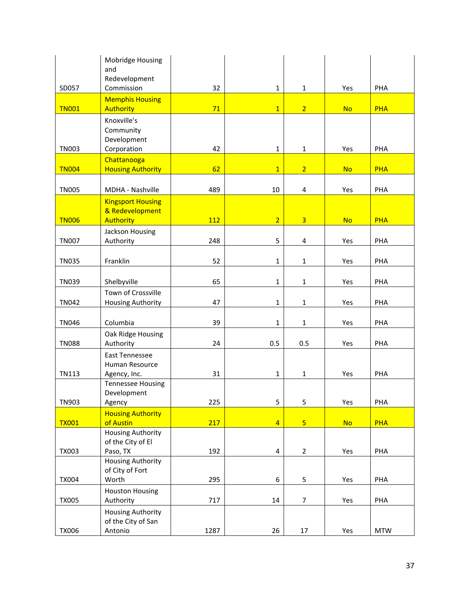|              | Mobridge Housing                      |      |                         |                |           |            |
|--------------|---------------------------------------|------|-------------------------|----------------|-----------|------------|
|              | and<br>Redevelopment                  |      |                         |                |           |            |
| SD057        | Commission                            | 32   | $\mathbf{1}$            | $\mathbf{1}$   | Yes       | PHA        |
|              | <b>Memphis Housing</b>                |      |                         |                |           |            |
| <b>TN001</b> | Authority                             | 71   | $\overline{1}$          | 2 <sup>2</sup> | <b>No</b> | <b>PHA</b> |
|              | Knoxville's<br>Community              |      |                         |                |           |            |
|              | Development                           |      |                         |                |           |            |
| <b>TN003</b> | Corporation                           | 42   | $\mathbf{1}$            | $\mathbf{1}$   | Yes       | PHA        |
|              | Chattanooga                           |      |                         |                |           |            |
| <b>TN004</b> | <b>Housing Authority</b>              | 62   | $\overline{1}$          | $\overline{2}$ | <b>No</b> | <b>PHA</b> |
| <b>TN005</b> | MDHA - Nashville                      | 489  | 10                      | 4              | Yes       | PHA        |
|              | <b>Kingsport Housing</b>              |      |                         |                |           |            |
|              | & Redevelopment                       |      |                         |                |           |            |
| <b>TN006</b> | <b>Authority</b>                      | 112  | $\overline{2}$          | $\overline{3}$ | <b>No</b> | <b>PHA</b> |
| <b>TN007</b> | Jackson Housing<br>Authority          | 248  | 5                       | 4              | Yes       | PHA        |
|              |                                       |      |                         |                |           |            |
| <b>TN035</b> | Franklin                              | 52   | $\mathbf{1}$            | $\mathbf{1}$   | Yes       | PHA        |
| <b>TN039</b> | Shelbyville                           | 65   | $\mathbf{1}$            | $\mathbf{1}$   | Yes       | PHA        |
|              | Town of Crossville                    |      |                         |                |           |            |
| <b>TN042</b> | <b>Housing Authority</b>              | 47   | $\mathbf{1}$            | $\mathbf{1}$   | Yes       | PHA        |
| <b>TN046</b> | Columbia                              | 39   | $\mathbf{1}$            | $\mathbf{1}$   | Yes       | PHA        |
|              | Oak Ridge Housing                     |      |                         |                |           |            |
| <b>TN088</b> | Authority                             | 24   | 0.5                     | 0.5            | Yes       | PHA        |
|              | <b>East Tennessee</b>                 |      |                         |                |           |            |
| <b>TN113</b> | Human Resource<br>Agency, Inc.        | 31   | $\mathbf{1}$            | $\mathbf{1}$   | Yes       | PHA        |
|              | <b>Tennessee Housing</b>              |      |                         |                |           |            |
|              | Development                           |      |                         |                |           |            |
| <b>TN903</b> | Agency                                | 225  | 5                       | 5              | Yes       | PHA        |
|              | <b>Housing Authority</b>              |      |                         |                |           |            |
| <b>TX001</b> | of Austin<br><b>Housing Authority</b> | 217  | $\overline{4}$          | $\overline{5}$ | <b>No</b> | <b>PHA</b> |
|              | of the City of El                     |      |                         |                |           |            |
| <b>TX003</b> | Paso, TX                              | 192  | $\overline{\mathbf{4}}$ | $\overline{2}$ | Yes       | PHA        |
|              | <b>Housing Authority</b>              |      |                         |                |           |            |
|              | of City of Fort<br>Worth              |      | 6                       |                |           | PHA        |
| <b>TX004</b> | <b>Houston Housing</b>                | 295  |                         | 5              | Yes       |            |
| <b>TX005</b> | Authority                             | 717  | 14                      | 7              | Yes       | PHA        |
|              | <b>Housing Authority</b>              |      |                         |                |           |            |
|              | of the City of San                    |      |                         |                |           |            |
| <b>TX006</b> | Antonio                               | 1287 | 26                      | 17             | Yes       | <b>MTW</b> |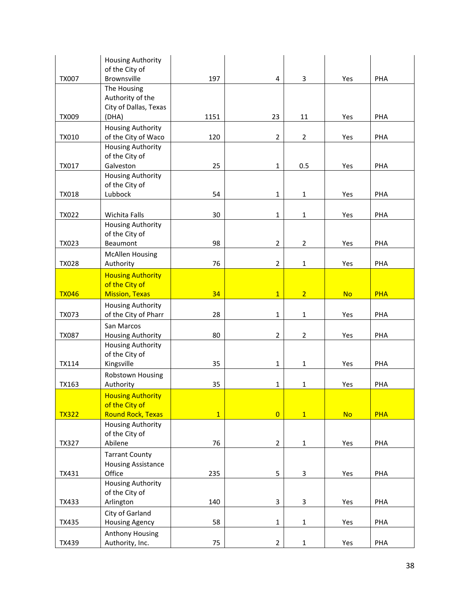|              | <b>Housing Authority</b>               |              |                |                |           |            |
|--------------|----------------------------------------|--------------|----------------|----------------|-----------|------------|
| <b>TX007</b> | of the City of<br>Brownsville          | 197          | 4              | 3              | Yes       | PHA        |
|              | The Housing                            |              |                |                |           |            |
|              | Authority of the                       |              |                |                |           |            |
|              | City of Dallas, Texas                  |              |                |                |           |            |
| <b>TX009</b> | (DHA)                                  | 1151         | 23             | 11             | Yes       | PHA        |
|              | <b>Housing Authority</b>               |              |                |                |           |            |
| <b>TX010</b> | of the City of Waco                    | 120          | $\overline{2}$ | $\overline{2}$ | Yes       | PHA        |
|              | <b>Housing Authority</b>               |              |                |                |           |            |
| <b>TX017</b> | of the City of<br>Galveston            | 25           | $\mathbf{1}$   | 0.5            | Yes       | PHA        |
|              | <b>Housing Authority</b>               |              |                |                |           |            |
|              | of the City of                         |              |                |                |           |            |
| <b>TX018</b> | Lubbock                                | 54           | $\mathbf 1$    | $\mathbf{1}$   | Yes       | PHA        |
|              |                                        |              |                |                |           |            |
| <b>TX022</b> | Wichita Falls                          | 30           | $\mathbf 1$    | $\mathbf{1}$   | Yes       | PHA        |
|              | <b>Housing Authority</b>               |              |                |                |           |            |
|              | of the City of                         |              |                |                |           |            |
| TX023        | Beaumont                               | 98           | $\overline{2}$ | $\overline{2}$ | Yes       | PHA        |
|              | <b>McAllen Housing</b>                 |              |                |                |           |            |
| <b>TX028</b> | Authority                              | 76           | $\overline{2}$ | $\mathbf{1}$   | Yes       | PHA        |
|              | <b>Housing Authority</b>               |              |                |                |           |            |
|              | of the City of                         |              |                |                |           |            |
| <b>TX046</b> | <b>Mission, Texas</b>                  | 34           | $\overline{1}$ | $\overline{2}$ | <b>No</b> | <b>PHA</b> |
|              | <b>Housing Authority</b>               |              | $\mathbf{1}$   |                | Yes       |            |
| <b>TX073</b> | of the City of Pharr                   | 28           |                | $\mathbf{1}$   |           | PHA        |
| <b>TX087</b> | San Marcos<br><b>Housing Authority</b> | 80           | $\overline{2}$ | $\overline{2}$ | Yes       | PHA        |
|              | <b>Housing Authority</b>               |              |                |                |           |            |
|              | of the City of                         |              |                |                |           |            |
| TX114        | Kingsville                             | 35           | $\mathbf{1}$   | $\mathbf{1}$   | Yes       | PHA        |
|              | Robstown Housing                       |              |                |                |           |            |
| TX163        | Authority                              | 35           | $\mathbf{1}$   | 1              | Yes       | PHA        |
|              | <b>Housing Authority</b>               |              |                |                |           |            |
|              | of the City of                         |              |                |                |           |            |
| <b>TX322</b> | <b>Round Rock, Texas</b>               | $\mathbf{1}$ | $\overline{0}$ | $\overline{1}$ | <b>No</b> | <b>PHA</b> |
|              | <b>Housing Authority</b>               |              |                |                |           |            |
|              | of the City of                         |              |                |                |           |            |
| <b>TX327</b> | Abilene                                | 76           | $\overline{2}$ | $\mathbf{1}$   | Yes       | PHA        |
|              | <b>Tarrant County</b>                  |              |                |                |           |            |
| TX431        | <b>Housing Assistance</b>              |              |                |                |           | PHA        |
|              | Office<br><b>Housing Authority</b>     | 235          | 5              | 3              | Yes       |            |
|              | of the City of                         |              |                |                |           |            |
| TX433        | Arlington                              | 140          | 3              | 3              | Yes       | PHA        |
|              | City of Garland                        |              |                |                |           |            |
| <b>TX435</b> | <b>Housing Agency</b>                  | 58           | $\mathbf 1$    | $\mathbf{1}$   | Yes       | PHA        |
|              | Anthony Housing                        |              |                |                |           |            |
| TX439        | Authority, Inc.                        | 75           | $\overline{2}$ | $\mathbf{1}$   | Yes       | PHA        |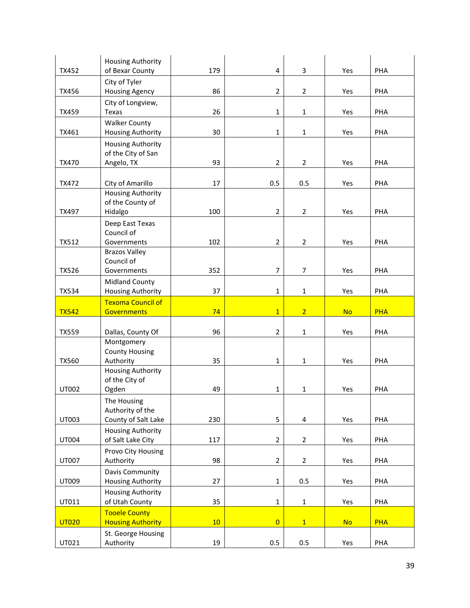| <b>TX452</b> | <b>Housing Authority</b><br>of Bexar County             | 179 | 4              | 3              | Yes       | PHA        |
|--------------|---------------------------------------------------------|-----|----------------|----------------|-----------|------------|
|              | City of Tyler                                           |     |                |                |           |            |
| TX456        | <b>Housing Agency</b>                                   | 86  | $\overline{2}$ | $\overline{2}$ | Yes       | PHA        |
| <b>TX459</b> | City of Longview,<br>Texas                              | 26  | $\mathbf{1}$   | $\mathbf{1}$   | Yes       | PHA        |
| TX461        | <b>Walker County</b><br><b>Housing Authority</b>        | 30  | $\mathbf{1}$   | $\mathbf{1}$   | Yes       | PHA        |
|              | <b>Housing Authority</b><br>of the City of San          |     |                |                |           |            |
| TX470        | Angelo, TX                                              | 93  | $\overline{2}$ | $\overline{2}$ | Yes       | PHA        |
| TX472        | City of Amarillo                                        | 17  | 0.5            | 0.5            | Yes       | PHA        |
| TX497        | <b>Housing Authority</b><br>of the County of<br>Hidalgo | 100 | $\overline{2}$ | $\overline{2}$ | Yes       | PHA        |
|              | Deep East Texas                                         |     |                |                |           |            |
|              | Council of                                              |     |                |                |           |            |
| <b>TX512</b> | Governments                                             | 102 | $\overline{2}$ | $\overline{2}$ | Yes       | PHA        |
|              | <b>Brazos Valley</b><br>Council of                      |     |                |                |           |            |
| <b>TX526</b> | Governments                                             | 352 | $\overline{7}$ | $\overline{7}$ | Yes       | PHA        |
|              | <b>Midland County</b>                                   |     |                |                |           |            |
| <b>TX534</b> | <b>Housing Authority</b>                                | 37  | $\mathbf 1$    | 1              | Yes       | PHA        |
|              | <b>Texoma Council of</b>                                |     |                |                |           |            |
|              |                                                         |     |                |                |           |            |
| <b>TX542</b> | <b>Governments</b>                                      | 74  | $\overline{1}$ | $\overline{2}$ | <b>No</b> | <b>PHA</b> |
| <b>TX559</b> | Dallas, County Of                                       | 96  | $\overline{2}$ | $\mathbf{1}$   | Yes       | PHA        |
|              | Montgomery                                              |     |                |                |           |            |
|              | <b>County Housing</b>                                   |     |                |                |           |            |
| <b>TX560</b> | Authority                                               | 35  | $\mathbf{1}$   | $\mathbf{1}$   | Yes       | PHA        |
|              | <b>Housing Authority</b><br>of the City of              |     |                |                |           |            |
| UT002        | Ogden                                                   | 49  | $\mathbf{1}$   | $\mathbf 1$    | Yes       | PHA        |
|              | The Housing                                             |     |                |                |           |            |
| UT003        | Authority of the                                        | 230 |                | 4              |           | PHA        |
|              | County of Salt Lake<br><b>Housing Authority</b>         |     | 5              |                | Yes       |            |
| UT004        | of Salt Lake City                                       | 117 | $\overline{2}$ | $\overline{2}$ | Yes       | PHA        |
|              | Provo City Housing                                      |     |                |                |           |            |
| UT007        | Authority                                               | 98  | $\overline{2}$ | $\overline{2}$ | Yes       | PHA        |
| UT009        | Davis Community                                         | 27  | $\mathbf 1$    | 0.5            | Yes       | PHA        |
|              | <b>Housing Authority</b><br><b>Housing Authority</b>    |     |                |                |           |            |
| UT011        | of Utah County                                          | 35  | $\mathbf 1$    | $\mathbf 1$    | Yes       | PHA        |
|              | <b>Tooele County</b>                                    |     |                |                |           |            |
| <b>UT020</b> | <b>Housing Authority</b><br>St. George Housing          | 10  | $\overline{0}$ | 1              | <b>No</b> | <b>PHA</b> |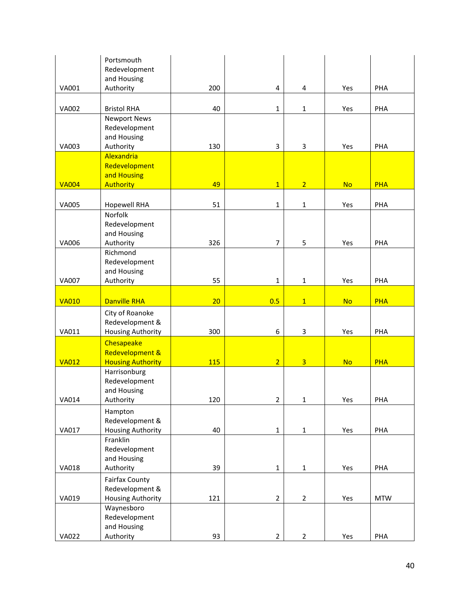|              | Portsmouth<br>Redevelopment                                          |     |                         |                |           |            |
|--------------|----------------------------------------------------------------------|-----|-------------------------|----------------|-----------|------------|
| <b>VA001</b> | and Housing<br>Authority                                             | 200 | $\overline{\mathbf{4}}$ | 4              | Yes       | PHA        |
|              |                                                                      |     |                         |                |           |            |
| <b>VA002</b> | <b>Bristol RHA</b>                                                   | 40  | $\mathbf{1}$            | $\mathbf{1}$   | Yes       | PHA        |
|              | <b>Newport News</b><br>Redevelopment<br>and Housing                  |     |                         |                |           |            |
| VA003        | Authority<br>Alexandria                                              | 130 | 3                       | 3              | Yes       | PHA        |
|              | Redevelopment<br>and Housing                                         |     |                         |                |           |            |
| <b>VA004</b> | <b>Authority</b>                                                     | 49  | $\overline{1}$          | $\overline{2}$ | <b>No</b> | <b>PHA</b> |
| <b>VA005</b> | <b>Hopewell RHA</b><br>Norfolk                                       | 51  | $\mathbf 1$             | $\mathbf{1}$   | Yes       | PHA        |
|              | Redevelopment<br>and Housing                                         |     |                         |                |           |            |
| <b>VA006</b> | Authority                                                            | 326 | $\overline{7}$          | 5              | Yes       | PHA        |
|              | Richmond<br>Redevelopment<br>and Housing                             |     |                         |                |           |            |
| <b>VA007</b> | Authority                                                            | 55  | $\mathbf{1}$            | $\mathbf{1}$   | Yes       | PHA        |
| <b>VA010</b> | <b>Danville RHA</b>                                                  | 20  | 0.5                     | 1              | <b>No</b> | <b>PHA</b> |
| VA011        | City of Roanoke<br>Redevelopment &<br><b>Housing Authority</b>       | 300 | 6                       | 3              | Yes       | PHA        |
|              | Chesapeake<br>Redevelopment &                                        |     |                         |                |           |            |
| <b>VA012</b> | <b>Housing Authority</b><br>Harrisonburg                             | 115 | $\overline{2}$          | $\overline{3}$ | <b>No</b> | <b>PHA</b> |
| <b>VA014</b> | Redevelopment<br>and Housing<br>Authority                            | 120 | $\boldsymbol{2}$        | $\mathbf 1$    | Yes       | PHA        |
|              | Hampton<br>Redevelopment &                                           |     |                         |                |           |            |
| <b>VA017</b> | <b>Housing Authority</b>                                             | 40  | $\mathbf 1$             | $\mathbf 1$    | Yes       | PHA        |
|              | Franklin<br>Redevelopment<br>and Housing                             |     |                         |                |           |            |
| <b>VA018</b> | Authority                                                            | 39  | $\mathbf{1}$            | $\mathbf{1}$   | Yes       | PHA        |
| VA019        | <b>Fairfax County</b><br>Redevelopment &<br><b>Housing Authority</b> | 121 | $\overline{2}$          | $\overline{2}$ | Yes       | <b>MTW</b> |
|              | Waynesboro<br>Redevelopment<br>and Housing                           |     |                         |                |           |            |
| <b>VA022</b> | Authority                                                            | 93  | $\overline{2}$          | $\overline{2}$ | Yes       | PHA        |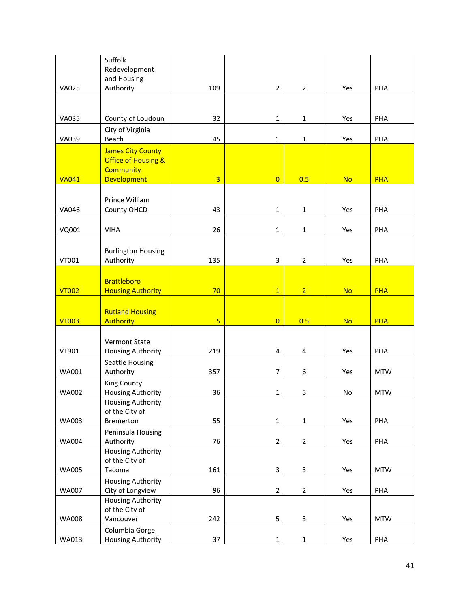|              | Suffolk<br>Redevelopment                                                                             |                |                         |                |           |            |
|--------------|------------------------------------------------------------------------------------------------------|----------------|-------------------------|----------------|-----------|------------|
|              | and Housing                                                                                          |                |                         |                |           |            |
| <b>VA025</b> | Authority                                                                                            | 109            | $\overline{2}$          | $\overline{2}$ | Yes       | PHA        |
|              |                                                                                                      |                |                         |                |           |            |
| <b>VA035</b> | County of Loudoun                                                                                    | 32             | $\mathbf{1}$            | $\mathbf{1}$   | Yes       | PHA        |
|              | City of Virginia                                                                                     |                |                         |                |           |            |
| <b>VA039</b> | Beach                                                                                                | 45             | $\mathbf{1}$            | $\mathbf{1}$   | Yes       | PHA        |
| <b>VA041</b> | <b>James City County</b><br><b>Office of Housing &amp;</b><br><b>Community</b><br><b>Development</b> | $\overline{3}$ | $\overline{0}$          | 0.5            | <b>No</b> | <b>PHA</b> |
|              |                                                                                                      |                |                         |                |           |            |
| VA046        | Prince William<br>County OHCD                                                                        | 43             | $\mathbf{1}$            | $\mathbf{1}$   | Yes       | PHA        |
|              |                                                                                                      |                |                         |                |           |            |
| VQ001        | <b>VIHA</b>                                                                                          | 26             | $\mathbf{1}$            | $\mathbf{1}$   | Yes       | PHA        |
| VT001        | <b>Burlington Housing</b><br>Authority                                                               | 135            | 3                       | $\overline{2}$ | Yes       | PHA        |
|              |                                                                                                      |                |                         |                |           |            |
| <b>VT002</b> | <b>Brattleboro</b><br><b>Housing Authority</b>                                                       | 70             | $\overline{1}$          | $\overline{2}$ | <b>No</b> | <b>PHA</b> |
|              |                                                                                                      |                |                         |                |           |            |
|              | <b>Rutland Housing</b>                                                                               |                |                         |                |           |            |
| <b>VT003</b> | <b>Authority</b>                                                                                     | 5 <sub>5</sub> | $\overline{0}$          | 0.5            | <b>No</b> | <b>PHA</b> |
| VT901        | <b>Vermont State</b>                                                                                 | 219            | $\overline{\mathbf{4}}$ | 4              | Yes       | PHA        |
| WA001        | <b>Housing Authority</b><br>Seattle Housing<br>Authority                                             | 357            | $\overline{7}$          | 6              | Yes       | <b>MTW</b> |
| <b>WA002</b> | <b>King County</b><br>Housing Authority                                                              | 36             | $\mathbf{1}$            | 5              | No        | <b>MTW</b> |
|              | <b>Housing Authority</b>                                                                             |                |                         |                |           |            |
|              | of the City of                                                                                       |                |                         |                |           |            |
| WA003        | Bremerton<br>Peninsula Housing                                                                       | 55             | $\mathbf 1$             | $\mathbf 1$    | Yes       | PHA        |
| <b>WA004</b> | Authority                                                                                            | 76             | $\overline{2}$          | $\overline{2}$ | Yes       | PHA        |
|              | <b>Housing Authority</b>                                                                             |                |                         |                |           |            |
| <b>WA005</b> | of the City of<br>Tacoma                                                                             | 161            | $\mathbf{3}$            | $\overline{3}$ | Yes       | <b>MTW</b> |
| <b>WA007</b> | <b>Housing Authority</b><br>City of Longview                                                         | 96             | $\overline{2}$          | $\overline{2}$ | Yes       | PHA        |
|              | <b>Housing Authority</b>                                                                             |                |                         |                |           |            |
|              | of the City of                                                                                       |                |                         |                |           |            |
| WA008        | Vancouver<br>Columbia Gorge                                                                          | 242            | 5                       | $\overline{3}$ | Yes       | <b>MTW</b> |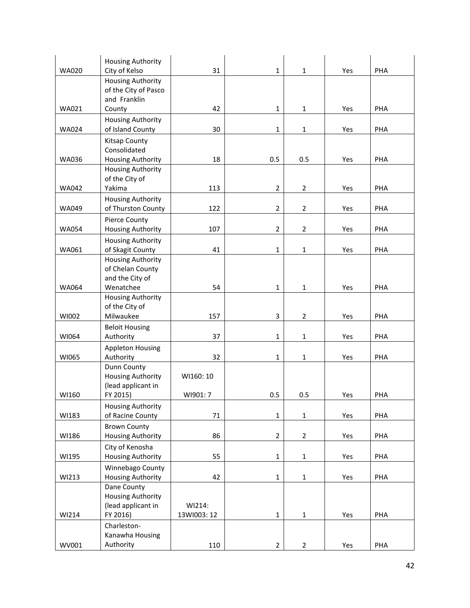|              | <b>Housing Authority</b>                |             |                |                |     |     |
|--------------|-----------------------------------------|-------------|----------------|----------------|-----|-----|
| <b>WA020</b> | City of Kelso                           | 31          | $\mathbf{1}$   | $\mathbf{1}$   | Yes | PHA |
|              | <b>Housing Authority</b>                |             |                |                |     |     |
|              | of the City of Pasco<br>and Franklin    |             |                |                |     |     |
| <b>WA021</b> | County                                  | 42          | $\mathbf{1}$   | 1              | Yes | PHA |
|              | <b>Housing Authority</b>                |             |                |                |     |     |
| <b>WA024</b> | of Island County                        | 30          | $\mathbf{1}$   | 1              | Yes | PHA |
|              |                                         |             |                |                |     |     |
|              | Kitsap County<br>Consolidated           |             |                |                |     |     |
| <b>WA036</b> | <b>Housing Authority</b>                | 18          | 0.5            | 0.5            | Yes | PHA |
|              | <b>Housing Authority</b>                |             |                |                |     |     |
|              | of the City of                          |             |                |                |     |     |
| <b>WA042</b> | Yakima                                  | 113         | $\overline{2}$ | $\overline{2}$ | Yes | PHA |
|              | <b>Housing Authority</b>                |             |                |                |     |     |
| <b>WA049</b> | of Thurston County                      | 122         | $\overline{2}$ | $\overline{2}$ | Yes | PHA |
|              | Pierce County                           |             |                |                |     |     |
| <b>WA054</b> | <b>Housing Authority</b>                | 107         | $\overline{2}$ | $\overline{2}$ | Yes | PHA |
|              | <b>Housing Authority</b>                |             |                |                |     |     |
| WA061        | of Skagit County                        | 41          | $\mathbf{1}$   | $\mathbf{1}$   | Yes | PHA |
|              | <b>Housing Authority</b>                |             |                |                |     |     |
|              | of Chelan County                        |             |                |                |     |     |
|              | and the City of                         |             |                |                |     |     |
| WA064        | Wenatchee                               | 54          | $\mathbf{1}$   | $\mathbf{1}$   | Yes | PHA |
|              | <b>Housing Authority</b>                |             |                |                |     |     |
|              | of the City of                          |             |                |                |     |     |
| WI002        | Milwaukee                               | 157         | 3              | $\overline{2}$ | Yes | PHA |
|              | <b>Beloit Housing</b>                   |             |                |                |     |     |
| WI064        | Authority                               | 37          | $\mathbf 1$    | 1              | Yes | PHA |
|              | <b>Appleton Housing</b>                 |             |                |                |     |     |
| WI065        | Authority                               | 32          | $\mathbf{1}$   | 1              | Yes | PHA |
|              | Dunn County<br><b>Housing Authority</b> | WI160: 10   |                |                |     |     |
|              | (lead applicant in                      |             |                |                |     |     |
| WI160        | FY 2015)                                | WI901: 7    | 0.5            | 0.5            | Yes | PHA |
|              | <b>Housing Authority</b>                |             |                |                |     |     |
| WI183        | of Racine County                        | 71          | $\mathbf{1}$   | $\mathbf 1$    | Yes | PHA |
|              | <b>Brown County</b>                     |             |                |                |     |     |
| WI186        | Housing Authority                       | 86          | $\overline{2}$ | $\overline{2}$ | Yes | PHA |
|              | City of Kenosha                         |             |                |                |     |     |
| WI195        | <b>Housing Authority</b>                | 55          | $\mathbf{1}$   | $\mathbf 1$    | Yes | PHA |
|              | Winnebago County                        |             |                |                |     |     |
| WI213        | <b>Housing Authority</b>                | 42          | $\mathbf 1$    | $\mathbf{1}$   | Yes | PHA |
|              | Dane County                             |             |                |                |     |     |
|              | <b>Housing Authority</b>                |             |                |                |     |     |
|              | (lead applicant in                      | WI214:      |                |                |     |     |
| WI214        | FY 2016)                                | 13WI003: 12 | $\mathbf 1$    | $\mathbf 1$    | Yes | PHA |
|              | Charleston-                             |             |                |                |     |     |
|              | Kanawha Housing                         |             |                |                |     |     |
| WV001        | Authority                               | 110         | $\overline{2}$ | $\overline{2}$ | Yes | PHA |